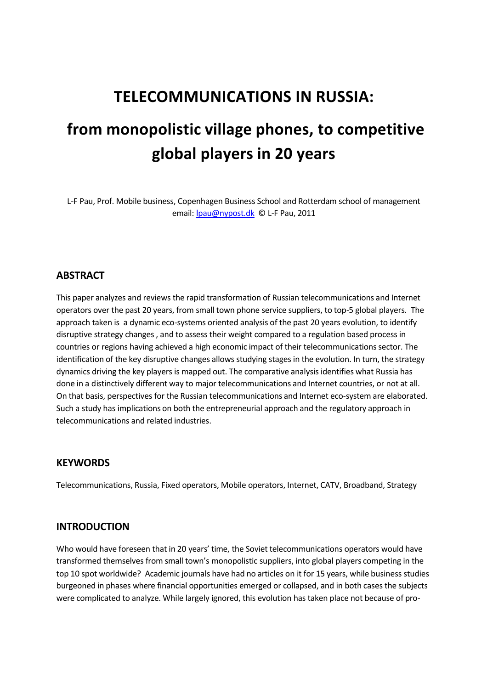## **TELECOMMUNICATIONS IN RUSSIA:**

# **from monopolistic village phones, to competitive global players in 20 years**

L-F Pau, Prof. Mobile business, Copenhagen Business School and Rotterdam school of management email: Ipau@nypost.dk © L-F Pau, 2011

## **ABSTRACT**

This paper analyzes and reviews the rapid transformation of Russian telecommunications and Internet operators over the past 20 years, from small town phone service suppliers, to top-5 global players. The approach taken is a dynamic eco-systems oriented analysis of the past 20 years evolution, to identify disruptive strategy changes , and to assess their weight compared to a regulation based process in countries or regions having achieved a high economic impact of their telecommunications sector. The identification of the key disruptive changes allows studying stages in the evolution. In turn, the strategy dynamics driving the key players is mapped out. The comparative analysis identifies what Russia has done in a distinctively different way to major telecommunications and Internet countries, or not at all. On that basis, perspectives for the Russian telecommunications and Internet eco-system are elaborated. Such a study has implications on both the entrepreneurial approach and the regulatory approach in telecommunications and related industries.

#### **KEYWORDS**

Telecommunications, Russia, Fixed operators, Mobile operators, Internet, CATV, Broadband, Strategy

#### **INTRODUCTION**

Who would have foreseen that in 20 years' time, the Soviet telecommunications operators would have transformed themselves from small town's monopolistic suppliers, into global players competing in the top 10 spot worldwide? Academic journals have had no articles on it for 15 years, while business studies burgeoned in phases where financial opportunities emerged or collapsed, and in both cases the subjects were complicated to analyze. While largely ignored, this evolution has taken place not because of pro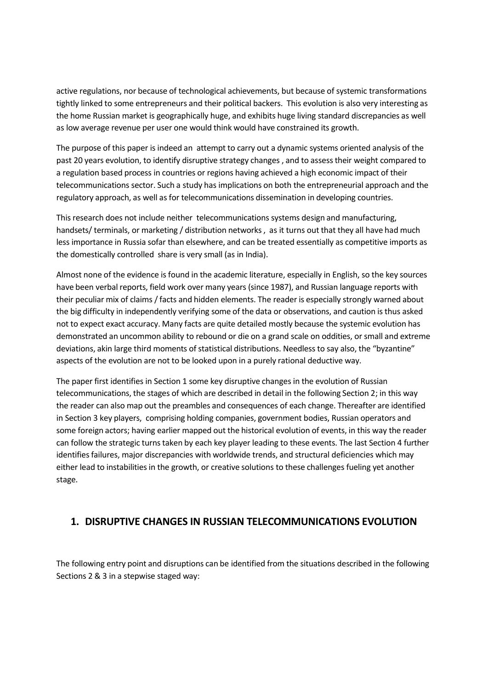active regulations, nor because of technological achievements, but because of systemic transformations tightly linked to some entrepreneurs and their political backers. This evolution is also very interesting as the home Russian market is geographically huge, and exhibits huge living standard discrepancies as well as low average revenue per user one would think would have constrained its growth.

The purpose of this paper is indeed an attempt to carry out a dynamic systems oriented analysis of the past 20 years evolution, to identify disruptive strategy changes , and to assess their weight compared to a regulation based process in countries or regions having achieved a high economic impact of their telecommunications sector. Such a study has implications on both the entrepreneurial approach and the regulatory approach, as well as for telecommunications dissemination in developing countries.

This research does not include neither telecommunications systems design and manufacturing, handsets/ terminals, or marketing / distribution networks , as it turns out that they all have had much less importance in Russia sofar than elsewhere, and can be treated essentially as competitive imports as the domestically controlled share is very small (as in India).

Almost none of the evidence is found in the academic literature, especially in English, so the key sources have been verbal reports, field work over many years (since 1987), and Russian language reports with their peculiar mix of claims / facts and hidden elements. The reader is especially strongly warned about the big difficulty in independently verifying some of the data or observations, and caution is thus asked not to expect exact accuracy. Many facts are quite detailed mostly because the systemic evolution has demonstrated an uncommon ability to rebound or die on a grand scale on oddities, or small and extreme deviations, akin large third moments of statistical distributions. Needless to say also, the "byzantine" aspects of the evolution are not to be looked upon in a purely rational deductive way.

The paper first identifies in Section 1 some key disruptive changes in the evolution of Russian telecommunications, the stages of which are described in detail in the following Section 2; in this way the reader can also map out the preambles and consequences of each change. Thereafter are identified in Section 3 key players, comprising holding companies, government bodies, Russian operators and some foreign actors; having earlier mapped out the historical evolution of events, in this way the reader can follow the strategic turns taken by each key player leading to these events. The last Section 4 further identifies failures, major discrepancies with worldwide trends, and structural deficiencies which may either lead to instabilities in the growth, or creative solutions to these challenges fueling yet another stage.

## **1. DISRUPTIVE CHANGES IN RUSSIAN TELECOMMUNICATIONS EVOLUTION**

The following entry point and disruptions can be identified from the situations described in the following Sections 2 & 3 in a stepwise staged way: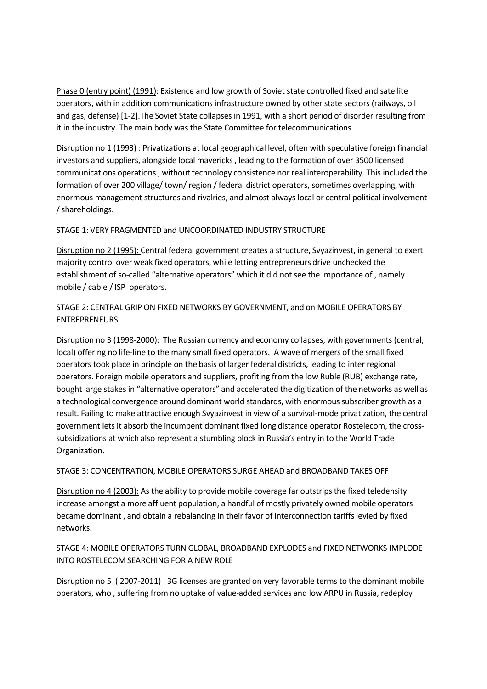Phase 0 (entry point) (1991): Existence and low growth of Soviet state controlled fixed and satellite operators, with in addition communications infrastructure owned by other state sectors (railways, oil and gas, defense) [1-2].The Soviet State collapses in 1991, with a short period of disorder resulting from it in the industry. The main body was the State Committee for telecommunications.

Disruption no 1 (1993) : Privatizations at local geographical level, often with speculative foreign financial investors and suppliers, alongside local mavericks , leading to the formation of over 3500 licensed communications operations , without technology consistence nor real interoperability. This included the formation of over 200 village/ town/ region / federal district operators, sometimes overlapping, with enormous management structures and rivalries, and almost always local or central political involvement / shareholdings.

STAGE 1: VERY FRAGMENTED and UNCOORDINATED INDUSTRY STRUCTURE

Disruption no 2 (1995): Central federal government creates a structure, Svyazinvest, in general to exert majority control over weak fixed operators, while letting entrepreneurs drive unchecked the establishment of so-called "alternative operators" which it did not see the importance of , namely mobile / cable / ISP operators.

STAGE 2: CENTRAL GRIP ON FIXED NETWORKS BY GOVERNMENT, and on MOBILE OPERATORS BY ENTREPRENEURS

Disruption no 3 (1998-2000): The Russian currency and economy collapses, with governments (central, local) offering no life-line to the many small fixed operators. A wave of mergers of the small fixed operators took place in principle on the basis of larger federal districts, leading to inter regional operators. Foreign mobile operators and suppliers, profiting from the low Ruble (RUB) exchange rate, bought large stakes in "alternative operators" and accelerated the digitization of the networks as well as a technological convergence around dominant world standards, with enormous subscriber growth as a result. Failing to make attractive enough Svyazinvest in view of a survival-mode privatization, the central government lets it absorb the incumbent dominant fixed long distance operator Rostelecom, the crosssubsidizations at which also represent a stumbling block in Russia's entry in to the World Trade Organization.

STAGE 3: CONCENTRATION, MOBILE OPERATORS SURGE AHEAD and BROADBAND TAKES OFF

Disruption no 4 (2003): As the ability to provide mobile coverage far outstrips the fixed teledensity increase amongst a more affluent population, a handful of mostly privately owned mobile operators became dominant , and obtain a rebalancing in their favor of interconnection tariffs levied by fixed networks.

STAGE 4: MOBILE OPERATORS TURN GLOBAL, BROADBAND EXPLODES and FIXED NETWORKS IMPLODE INTO ROSTELECOM SEARCHING FOR A NEW ROLE

Disruption no 5 (2007-2011) : 3G licenses are granted on very favorable terms to the dominant mobile operators, who , suffering from no uptake of value-added services and low ARPU in Russia, redeploy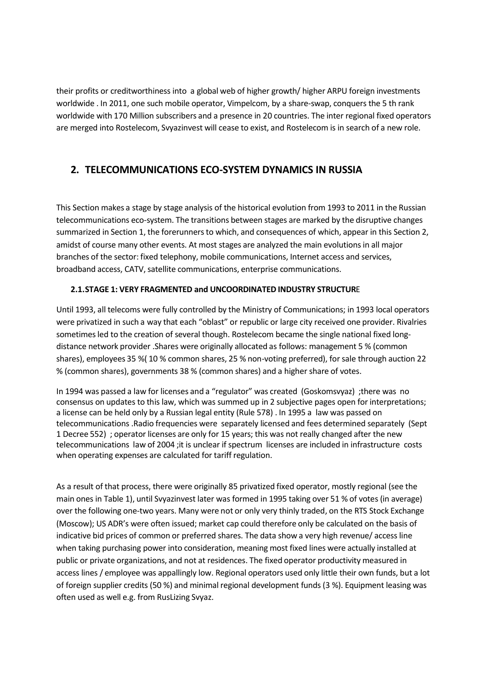their profits or creditworthiness into a global web of higher growth/ higher ARPU foreign investments worldwide . In 2011, one such mobile operator, Vimpelcom, by a share-swap, conquers the 5 th rank worldwide with 170 Million subscribers and a presence in 20 countries. The inter regional fixed operators are merged into Rostelecom, Svyazinvest will cease to exist, and Rostelecom is in search of a new role.

## **2. TELECOMMUNICATIONS ECO-SYSTEM DYNAMICS IN RUSSIA**

This Section makes a stage by stage analysis of the historical evolution from 1993 to 2011 in the Russian telecommunications eco-system. The transitions between stages are marked by the disruptive changes summarized in Section 1, the forerunners to which, and consequences of which, appear in this Section 2, amidst of course many other events. At most stages are analyzed the main evolutions in all major branches of the sector: fixed telephony, mobile communications, Internet access and services, broadband access, CATV, satellite communications, enterprise communications.

## **2.1.STAGE 1: VERY FRAGMENTED and UNCOORDINATED INDUSTRY STRUCTUR**E

Until 1993, all telecoms were fully controlled by the Ministry of Communications; in 1993 local operators were privatized in such a way that each "oblast" or republic or large city received one provider. Rivalries sometimes led to the creation of several though. Rostelecom became the single national fixed longdistance network provider .Shares were originally allocated as follows: management 5 % (common shares), employees 35 %( 10 % common shares, 25 % non-voting preferred), for sale through auction 22 % (common shares), governments 38 % (common shares) and a higher share of votes.

In 1994 was passed a law for licenses and a "regulator" was created (Goskomsvyaz) ;there was no consensus on updates to this law, which was summed up in 2 subjective pages open for interpretations; a license can be held only by a Russian legal entity (Rule 578) . In 1995 a law was passed on telecommunications .Radio frequencies were separately licensed and fees determined separately (Sept 1 Decree 552) ; operator licenses are only for 15 years; this was not really changed after the new telecommunications law of 2004 ;it is unclear if spectrum licenses are included in infrastructure costs when operating expenses are calculated for tariff regulation.

As a result of that process, there were originally 85 privatized fixed operator, mostly regional (see the main ones in Table 1), until Svyazinvest later was formed in 1995 taking over 51 % of votes (in average) over the following one-two years. Many were not or only very thinly traded, on the RTS Stock Exchange (Moscow); US ADR's were often issued; market cap could therefore only be calculated on the basis of indicative bid prices of common or preferred shares. The data show a very high revenue/ access line when taking purchasing power into consideration, meaning most fixed lines were actually installed at public or private organizations, and not at residences. The fixed operator productivity measured in access lines / employee was appallingly low. Regional operators used only little their own funds, but a lot of foreign supplier credits (50 %) and minimal regional development funds (3 %). Equipment leasing was often used as well e.g. from RusLizing Svyaz.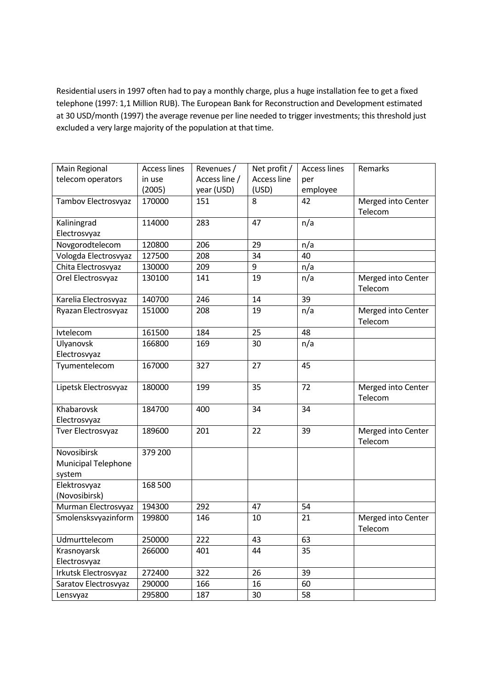Residential users in 1997 often had to pay a monthly charge, plus a huge installation fee to get a fixed telephone (1997: 1,1 Million RUB). The European Bank for Reconstruction and Development estimated at 30 USD/month (1997) the average revenue per line needed to trigger investments; this threshold just excluded a very large majority of the population at that time.

| Main Regional        | <b>Access lines</b> | Revenues /    | Net profit /       | <b>Access lines</b> | Remarks            |
|----------------------|---------------------|---------------|--------------------|---------------------|--------------------|
| telecom operators    | in use              | Access line / | <b>Access line</b> | per                 |                    |
|                      | (2005)              | year (USD)    | (USD)              | employee            |                    |
| Tambov Electrosvyaz  | 170000              | 151           | 8                  | 42                  | Merged into Center |
|                      |                     |               |                    |                     | Telecom            |
| Kaliningrad          | 114000              | 283           | 47                 | n/a                 |                    |
| Electrosvyaz         |                     |               |                    |                     |                    |
| Novgorodtelecom      | 120800              | 206           | 29                 | n/a                 |                    |
| Vologda Electrosvyaz | 127500              | 208           | 34                 | 40                  |                    |
| Chita Electrosvyaz   | 130000              | 209           | 9                  | n/a                 |                    |
| Orel Electrosvyaz    | 130100              | 141           | 19                 | n/a                 | Merged into Center |
|                      |                     |               |                    |                     | Telecom            |
| Karelia Electrosvyaz | 140700              | 246           | 14                 | 39                  |                    |
| Ryazan Electrosvyaz  | 151000              | 208           | 19                 | n/a                 | Merged into Center |
|                      |                     |               |                    |                     | Telecom            |
| Ivtelecom            | 161500              | 184           | 25                 | 48                  |                    |
| Ulyanovsk            | 166800              | 169           | 30                 | n/a                 |                    |
| Electrosvyaz         |                     |               |                    |                     |                    |
| Tyumentelecom        | 167000              | 327           | 27                 | 45                  |                    |
|                      |                     |               |                    |                     |                    |
| Lipetsk Electrosvyaz | 180000              | 199           | 35                 | 72                  | Merged into Center |
|                      |                     |               |                    |                     | Telecom            |
| Khabarovsk           | 184700              | 400           | 34                 | 34                  |                    |
| Electrosvyaz         |                     |               |                    |                     |                    |
| Tver Electrosvyaz    | 189600              | 201           | 22                 | 39                  | Merged into Center |
|                      |                     |               |                    |                     | Telecom            |
| Novosibirsk          | 379 200             |               |                    |                     |                    |
| Municipal Telephone  |                     |               |                    |                     |                    |
| system               |                     |               |                    |                     |                    |
| Elektrosvyaz         | 168 500             |               |                    |                     |                    |
| (Novosibirsk)        |                     |               |                    |                     |                    |
| Murman Electrosvyaz  | 194300              | 292           | 47                 | 54                  |                    |
| Smolensksvyazinform  | 199800              | 146           | 10                 | 21                  | Merged into Center |
|                      |                     |               |                    |                     | Telecom            |
| Udmurttelecom        | 250000              | 222           | 43                 | 63                  |                    |
| Krasnoyarsk          | 266000              | 401           | 44                 | 35                  |                    |
| Electrosvyaz         |                     |               |                    |                     |                    |
| Irkutsk Electrosvyaz | 272400              | 322           | 26                 | 39                  |                    |
| Saratov Electrosvyaz | 290000              | 166           | 16                 | 60                  |                    |
| Lensvyaz             | 295800              | 187           | 30                 | 58                  |                    |
|                      |                     |               |                    |                     |                    |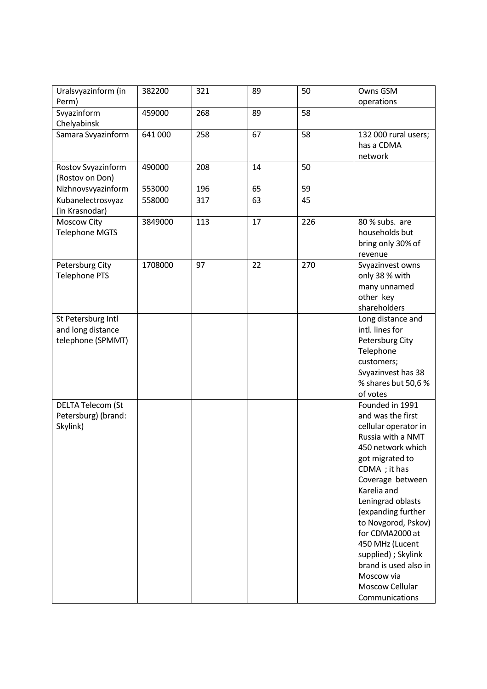| Uralsvyazinform (in<br>Perm)           | 382200  | 321 | 89 | 50  | Owns GSM<br>operations                    |
|----------------------------------------|---------|-----|----|-----|-------------------------------------------|
| Svyazinform                            | 459000  | 268 | 89 | 58  |                                           |
| Chelyabinsk<br>Samara Svyazinform      | 641 000 | 258 | 67 | 58  | 132 000 rural users;                      |
|                                        |         |     |    |     | has a CDMA                                |
|                                        |         |     |    |     | network                                   |
| Rostov Svyazinform                     | 490000  | 208 | 14 | 50  |                                           |
| (Rostov on Don)                        |         |     |    |     |                                           |
| Nizhnovsvyazinform                     | 553000  | 196 | 65 | 59  |                                           |
| Kubanelectrosvyaz<br>(in Krasnodar)    | 558000  | 317 | 63 | 45  |                                           |
| Moscow City                            | 3849000 | 113 | 17 | 226 | 80 % subs. are                            |
| <b>Telephone MGTS</b>                  |         |     |    |     | households but                            |
|                                        |         |     |    |     | bring only 30% of<br>revenue              |
| Petersburg City                        | 1708000 | 97  | 22 | 270 | Svyazinvest owns                          |
| <b>Telephone PTS</b>                   |         |     |    |     | only 38 % with                            |
|                                        |         |     |    |     | many unnamed                              |
|                                        |         |     |    |     | other key                                 |
|                                        |         |     |    |     | shareholders                              |
| St Petersburg Intl                     |         |     |    |     | Long distance and<br>intl. lines for      |
| and long distance<br>telephone (SPMMT) |         |     |    |     | Petersburg City                           |
|                                        |         |     |    |     | Telephone                                 |
|                                        |         |     |    |     | customers;                                |
|                                        |         |     |    |     | Svyazinvest has 38                        |
|                                        |         |     |    |     | % shares but 50,6 %                       |
|                                        |         |     |    |     | of votes                                  |
| <b>DELTA Telecom (St</b>               |         |     |    |     | Founded in 1991                           |
| Petersburg) (brand:                    |         |     |    |     | and was the first                         |
| Skylink)                               |         |     |    |     | cellular operator in<br>Russia with a NMT |
|                                        |         |     |    |     | 450 network which                         |
|                                        |         |     |    |     | got migrated to                           |
|                                        |         |     |    |     | CDMA ; it has                             |
|                                        |         |     |    |     | Coverage between                          |
|                                        |         |     |    |     | Karelia and                               |
|                                        |         |     |    |     | Leningrad oblasts                         |
|                                        |         |     |    |     | (expanding further                        |
|                                        |         |     |    |     | to Novgorod, Pskov)<br>for CDMA2000 at    |
|                                        |         |     |    |     | 450 MHz (Lucent                           |
|                                        |         |     |    |     | supplied) ; Skylink                       |
|                                        |         |     |    |     | brand is used also in                     |
|                                        |         |     |    |     | Moscow via                                |
|                                        |         |     |    |     | Moscow Cellular                           |
|                                        |         |     |    |     | Communications                            |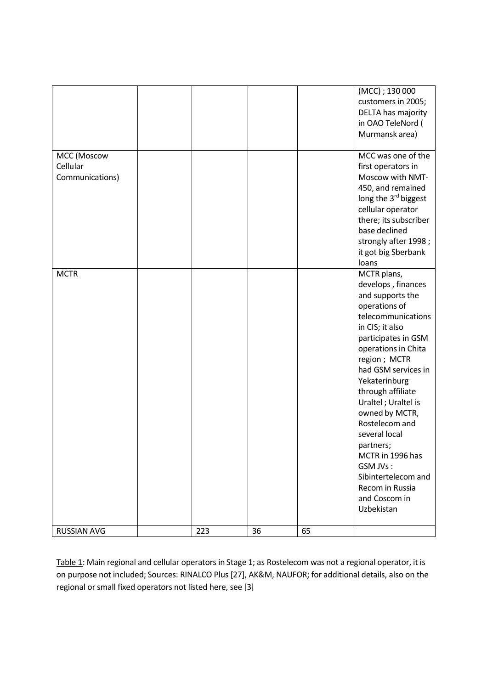|                                            |     |    |    | (MCC); 130 000<br>customers in 2005;<br>DELTA has majority<br>in OAO TeleNord (<br>Murmansk area)                                                                                                                                                                                                                                                                                                                                             |
|--------------------------------------------|-----|----|----|-----------------------------------------------------------------------------------------------------------------------------------------------------------------------------------------------------------------------------------------------------------------------------------------------------------------------------------------------------------------------------------------------------------------------------------------------|
| MCC (Moscow<br>Cellular<br>Communications) |     |    |    | MCC was one of the<br>first operators in<br>Moscow with NMT-<br>450, and remained<br>long the 3 <sup>rd</sup> biggest<br>cellular operator<br>there; its subscriber<br>base declined<br>strongly after 1998;<br>it got big Sberbank<br>loans                                                                                                                                                                                                  |
| <b>MCTR</b>                                |     |    |    | MCTR plans,<br>develops, finances<br>and supports the<br>operations of<br>telecommunications<br>in CIS; it also<br>participates in GSM<br>operations in Chita<br>region; MCTR<br>had GSM services in<br>Yekaterinburg<br>through affiliate<br>Uraltel ; Uraltel is<br>owned by MCTR,<br>Rostelecom and<br>several local<br>partners;<br>MCTR in 1996 has<br>GSM JVs:<br>Sibintertelecom and<br>Recom in Russia<br>and Coscom in<br>Uzbekistan |
| <b>RUSSIAN AVG</b>                         | 223 | 36 | 65 |                                                                                                                                                                                                                                                                                                                                                                                                                                               |

Table 1: Main regional and cellular operators in Stage 1; as Rostelecom was not a regional operator, it is on purpose not included; Sources: RINALCO Plus [27], AK&M, NAUFOR; for additional details, also on the regional or small fixed operators not listed here, see [3]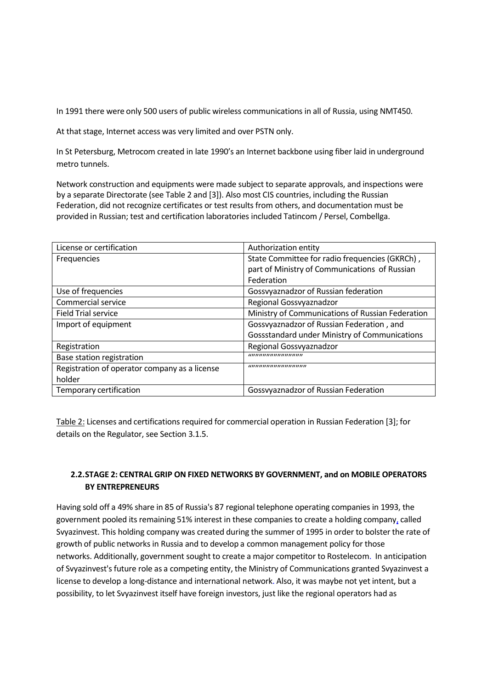In 1991 there were only 500 users of public wireless communications in all of Russia, using NMT450.

At that stage, Internet access was very limited and over PSTN only.

In St Petersburg, Metrocom created in late 1990's an Internet backbone using fiber laid in underground metro tunnels.

Network construction and equipments were made subject to separate approvals, and inspections were by a separate Directorate (see Table 2 and [3]). Also most CIS countries, including the Russian Federation, did not recognize certificates or test results from others, and documentation must be provided in Russian; test and certification laboratories included Tatincom / Persel, Combellga.

| License or certification                      | Authorization entity                                 |
|-----------------------------------------------|------------------------------------------------------|
| Frequencies                                   | State Committee for radio frequencies (GKRCh),       |
|                                               | part of Ministry of Communications of Russian        |
|                                               | Federation                                           |
| Use of frequencies                            | Gossvyaznadzor of Russian federation                 |
| Commercial service                            | Regional Gossvyaznadzor                              |
| <b>Field Trial service</b>                    | Ministry of Communications of Russian Federation     |
| Import of equipment                           | Gossvyaznadzor of Russian Federation, and            |
|                                               | <b>Gossstandard under Ministry of Communications</b> |
| Registration                                  | Regional Gossvyaznadzor                              |
| Base station registration                     | ,,,,,,,,,,,,,,,,,,,,,,,,                             |
| Registration of operator company as a license | ,,,,,,,,,,,,,,,,,,,,,,,,,,,,,                        |
| holder                                        |                                                      |
| Temporary certification                       | Gossvyaznadzor of Russian Federation                 |

Table 2: Licenses and certifications required for commercial operation in Russian Federation [3]; for details on the Regulator, see Section 3.1.5.

## **2.2.STAGE 2: CENTRAL GRIP ON FIXED NETWORKS BY GOVERNMENT, and on MOBILE OPERATORS BY ENTREPRENEURS**

Having sold off a 49% share in 85 of Russia's 87 regional telephone operating companies in 1993, the government pooled its remaining 51% interest in these companies to create a holding company, called Svyazinvest. This holding company was created during the summer of 1995 in order to bolster the rate of growth of public networks in Russia and to develop a common management policy for those networks. Additionally, government sought to create a major competitor to Rostelecom. In anticipation of Svyazinvest's future role as a competing entity, the Ministry of Communications granted Svyazinvest a license to develop a long-distance and international network. Also, it was maybe not yet intent, but a possibility, to let Svyazinvest itself have foreign investors, just like the regional operators had as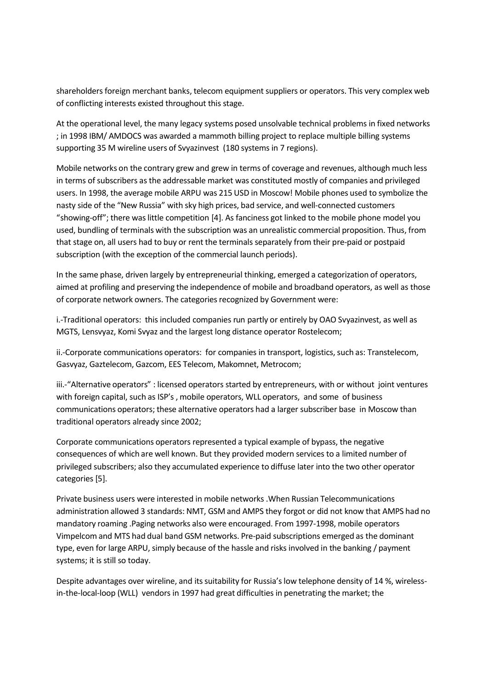shareholders foreign merchant banks, telecom equipment suppliers or operators. This very complex web of conflicting interests existed throughout this stage.

At the operational level, the many legacy systems posed unsolvable technical problems in fixed networks ; in 1998 IBM/ AMDOCS was awarded a mammoth billing project to replace multiple billing systems supporting 35 M wireline users of Svyazinvest (180 systems in 7 regions).

Mobile networks on the contrary grew and grew in terms of coverage and revenues, although much less in terms of subscribers as the addressable market was constituted mostly of companies and privileged users. In 1998, the average mobile ARPU was 215 USD in Moscow! Mobile phones used to symbolize the nasty side of the "New Russia" with sky high prices, bad service, and well-connected customers "showing-off"; there was little competition [4]. As fanciness got linked to the mobile phone model you used, bundling of terminals with the subscription was an unrealistic commercial proposition. Thus, from that stage on, all users had to buy or rent the terminals separately from their pre-paid or postpaid subscription (with the exception of the commercial launch periods).

In the same phase, driven largely by entrepreneurial thinking, emerged a categorization of operators, aimed at profiling and preserving the independence of mobile and broadband operators, as well as those of corporate network owners. The categories recognized by Government were:

i.-Traditional operators: this included companies run partly or entirely by OAO Svyazinvest, as well as MGTS, Lensvyaz, Komi Svyaz and the largest long distance operator Rostelecom;

ii.-Corporate communications operators: for companies in transport, logistics, such as: Transtelecom, Gasvyaz, Gaztelecom, Gazcom, EES Telecom, Makomnet, Metrocom;

iii.-"Alternative operators" : licensed operators started by entrepreneurs, with or without joint ventures with foreign capital, such as ISP's , mobile operators, WLL operators, and some of business communications operators; these alternative operators had a larger subscriber base in Moscow than traditional operators already since 2002;

Corporate communications operators represented a typical example of bypass, the negative consequences of which are well known. But they provided modern services to a limited number of privileged subscribers; also they accumulated experience to diffuse later into the two other operator categories [5].

Private business users were interested in mobile networks .When Russian Telecommunications administration allowed 3 standards: NMT, GSM and AMPS they forgot or did not know that AMPS had no mandatory roaming .Paging networks also were encouraged. From 1997-1998, mobile operators Vimpelcom and MTS had dual band GSM networks. Pre-paid subscriptions emerged as the dominant type, even for large ARPU, simply because of the hassle and risks involved in the banking / payment systems; it is still so today.

Despite advantages over wireline, and its suitability for Russia's low telephone density of 14 %, wirelessin-the-local-loop (WLL) vendors in 1997 had great difficulties in penetrating the market; the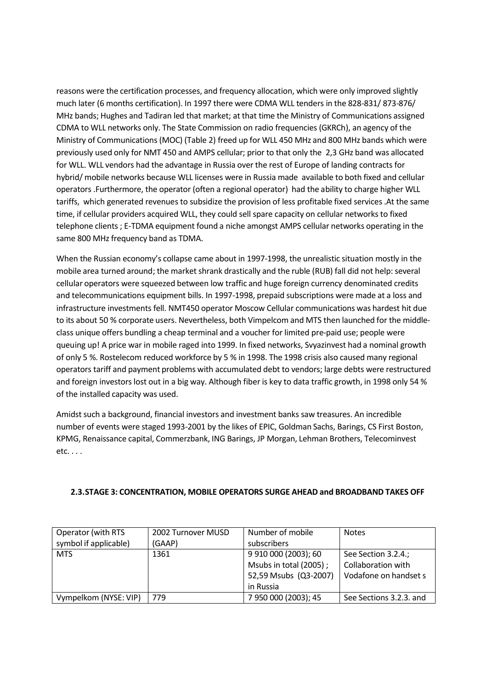reasons were the certification processes, and frequency allocation, which were only improved slightly much later (6 months certification). In 1997 there were CDMA WLL tenders in the 828-831/ 873-876/ MHz bands; Hughes and Tadiran led that market; at that time the Ministry of Communications assigned CDMA to WLL networks only. The State Commission on radio frequencies (GKRCh), an agency of the Ministry of Communications (MOC) (Table 2) freed up for WLL 450 MHz and 800 MHz bands which were previously used only for NMT 450 and AMPS cellular; prior to that only the 2,3 GHz band was allocated for WLL. WLL vendors had the advantage in Russia over the rest of Europe of landing contracts for hybrid/ mobile networks because WLL licenses were in Russia made available to both fixed and cellular operators .Furthermore, the operator (often a regional operator) had the ability to charge higher WLL tariffs, which generated revenues to subsidize the provision of less profitable fixed services .At the same time, if cellular providers acquired WLL, they could sell spare capacity on cellular networks to fixed telephone clients ; E-TDMA equipment found a niche amongst AMPS cellular networks operating in the same 800 MHz frequency band as TDMA.

When the Russian economy's collapse came about in 1997-1998, the unrealistic situation mostly in the mobile area turned around; the market shrank drastically and the ruble (RUB) fall did not help: several cellular operators were squeezed between low traffic and huge foreign currency denominated credits and telecommunications equipment bills. In 1997-1998, prepaid subscriptions were made at a loss and infrastructure investments fell. NMT450 operator Moscow Cellular communications was hardest hit due to its about 50 % corporate users. Nevertheless, both Vimpelcom and MTS then launched for the middleclass unique offers bundling a cheap terminal and a voucher for limited pre-paid use; people were queuing up! A price war in mobile raged into 1999. In fixed networks, Svyazinvest had a nominal growth of only 5 %. Rostelecom reduced workforce by 5 % in 1998. The 1998 crisis also caused many regional operators tariff and payment problems with accumulated debt to vendors; large debts were restructured and foreign investors lost out in a big way. Although fiber is key to data traffic growth, in 1998 only 54 % of the installed capacity was used.

Amidst such a background, financial investors and investment banks saw treasures. An incredible number of events were staged 1993-2001 by the likes of EPIC, Goldman Sachs, Barings, CS First Boston, KPMG, Renaissance capital, Commerzbank, ING Barings, JP Morgan, Lehman Brothers, Telecominvest etc. . . .

| Operator (with RTS    | 2002 Turnover MUSD | Number of mobile       | <b>Notes</b>              |
|-----------------------|--------------------|------------------------|---------------------------|
| symbol if applicable) | (GAAP)             | subscribers            |                           |
| <b>MTS</b>            | 1361               | 9 910 000 (2003); 60   | See Section 3.2.4.;       |
|                       |                    | Msubs in total (2005); | <b>Collaboration with</b> |
|                       |                    | 52,59 Msubs (Q3-2007)  | Vodafone on handset s     |
|                       |                    | in Russia              |                           |
| Vympelkom (NYSE: VIP) | 779                | 7 950 000 (2003); 45   | See Sections 3.2.3. and   |

#### **2.3.STAGE 3: CONCENTRATION, MOBILE OPERATORS SURGE AHEAD and BROADBAND TAKES OFF**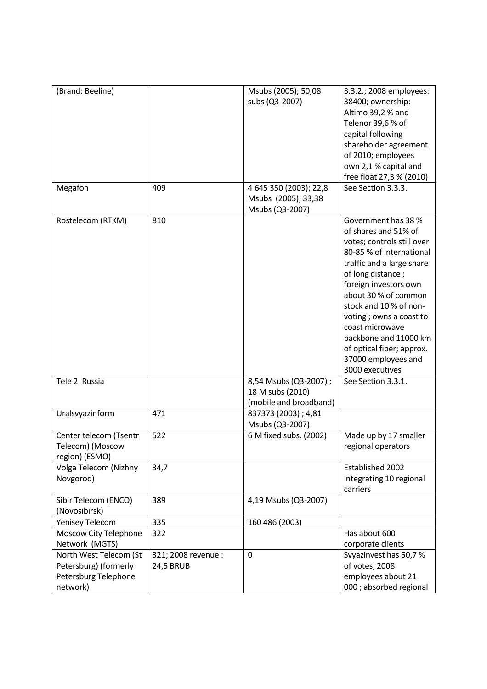| (Brand: Beeline)<br>Megafon                                                         | 409                                     | Msubs (2005); 50,08<br>subs (Q3-2007)<br>4 645 350 (2003); 22,8     | 3.3.2.; 2008 employees:<br>38400; ownership:<br>Altimo 39,2 % and<br>Telenor 39,6 % of<br>capital following<br>shareholder agreement<br>of 2010; employees<br>own 2,1 % capital and<br>free float 27,3 % (2010)<br>See Section 3.3.3.                                                                                                                                            |
|-------------------------------------------------------------------------------------|-----------------------------------------|---------------------------------------------------------------------|----------------------------------------------------------------------------------------------------------------------------------------------------------------------------------------------------------------------------------------------------------------------------------------------------------------------------------------------------------------------------------|
|                                                                                     |                                         | Msubs (2005); 33,38<br>Msubs (Q3-2007)                              |                                                                                                                                                                                                                                                                                                                                                                                  |
| Rostelecom (RTKM)                                                                   | 810                                     |                                                                     | Government has 38 %<br>of shares and 51% of<br>votes; controls still over<br>80-85 % of international<br>traffic and a large share<br>of long distance;<br>foreign investors own<br>about 30 % of common<br>stock and 10% of non-<br>voting ; owns a coast to<br>coast microwave<br>backbone and 11000 km<br>of optical fiber; approx.<br>37000 employees and<br>3000 executives |
| Tele 2 Russia                                                                       |                                         | 8,54 Msubs (Q3-2007);<br>18 M subs (2010)<br>(mobile and broadband) | See Section 3.3.1.                                                                                                                                                                                                                                                                                                                                                               |
| Uralsvyazinform                                                                     | 471                                     | 837373 (2003) ; 4,81<br>Msubs (Q3-2007)                             |                                                                                                                                                                                                                                                                                                                                                                                  |
| Center telecom (Tsentr<br>Telecom) (Moscow<br>region) (ESMO)                        | 522                                     | 6 M fixed subs. (2002)                                              | Made up by 17 smaller<br>regional operators                                                                                                                                                                                                                                                                                                                                      |
| Volga Telecom (Nizhny<br>Novgorod)                                                  | 34,7                                    |                                                                     | Established 2002<br>integrating 10 regional<br>carriers                                                                                                                                                                                                                                                                                                                          |
| Sibir Telecom (ENCO)<br>(Novosibirsk)                                               | 389                                     | 4,19 Msubs (Q3-2007)                                                |                                                                                                                                                                                                                                                                                                                                                                                  |
| <b>Yenisey Telecom</b>                                                              | 335                                     | 160 486 (2003)                                                      |                                                                                                                                                                                                                                                                                                                                                                                  |
| Moscow City Telephone<br>Network (MGTS)                                             | 322                                     |                                                                     | Has about 600<br>corporate clients                                                                                                                                                                                                                                                                                                                                               |
| North West Telecom (St<br>Petersburg) (formerly<br>Petersburg Telephone<br>network) | 321; 2008 revenue :<br><b>24,5 BRUB</b> | $\mathbf 0$                                                         | Svyazinvest has 50,7%<br>of votes; 2008<br>employees about 21<br>000 ; absorbed regional                                                                                                                                                                                                                                                                                         |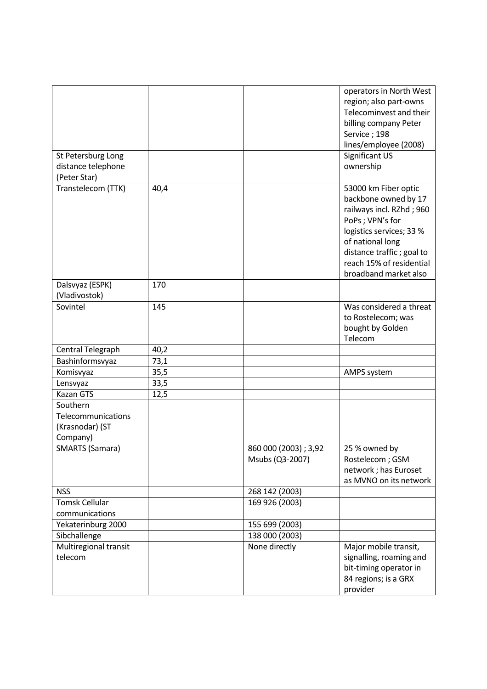| St Petersburg Long<br>distance telephone<br>(Peter Star)      |      |                                          | operators in North West<br>region; also part-owns<br>Telecominvest and their<br>billing company Peter<br>Service; 198<br>lines/employee (2008)<br>Significant US<br>ownership                                                 |
|---------------------------------------------------------------|------|------------------------------------------|-------------------------------------------------------------------------------------------------------------------------------------------------------------------------------------------------------------------------------|
| Transtelecom (TTK)                                            | 40,4 |                                          | 53000 km Fiber optic<br>backbone owned by 17<br>railways incl. RZhd; 960<br>PoPs; VPN's for<br>logistics services; 33 %<br>of national long<br>distance traffic; goal to<br>reach 15% of residential<br>broadband market also |
| Dalsvyaz (ESPK)<br>(Vladivostok)                              | 170  |                                          |                                                                                                                                                                                                                               |
| Sovintel                                                      | 145  |                                          | Was considered a threat<br>to Rostelecom; was<br>bought by Golden<br>Telecom                                                                                                                                                  |
| Central Telegraph                                             | 40,2 |                                          |                                                                                                                                                                                                                               |
| Bashinformsvyaz                                               | 73,1 |                                          |                                                                                                                                                                                                                               |
| Komisvyaz                                                     | 35,5 |                                          | AMPS system                                                                                                                                                                                                                   |
| Lensvyaz                                                      | 33,5 |                                          |                                                                                                                                                                                                                               |
| <b>Kazan GTS</b>                                              | 12,5 |                                          |                                                                                                                                                                                                                               |
| Southern<br>Telecommunications<br>(Krasnodar) (ST<br>Company) |      |                                          |                                                                                                                                                                                                                               |
| <b>SMARTS (Samara)</b>                                        |      | 860 000 (2003) ; 3,92<br>Msubs (Q3-2007) | 25 % owned by<br>Rostelecom; GSM<br>network; has Euroset<br>as MVNO on its network                                                                                                                                            |
| <b>NSS</b>                                                    |      | 268 142 (2003)                           |                                                                                                                                                                                                                               |
| <b>Tomsk Cellular</b>                                         |      | 169 926 (2003)                           |                                                                                                                                                                                                                               |
| communications                                                |      |                                          |                                                                                                                                                                                                                               |
| Yekaterinburg 2000                                            |      | 155 699 (2003)                           |                                                                                                                                                                                                                               |
| Sibchallenge                                                  |      | 138 000 (2003)                           |                                                                                                                                                                                                                               |
| Multiregional transit<br>telecom                              |      | None directly                            | Major mobile transit,<br>signalling, roaming and<br>bit-timing operator in<br>84 regions; is a GRX<br>provider                                                                                                                |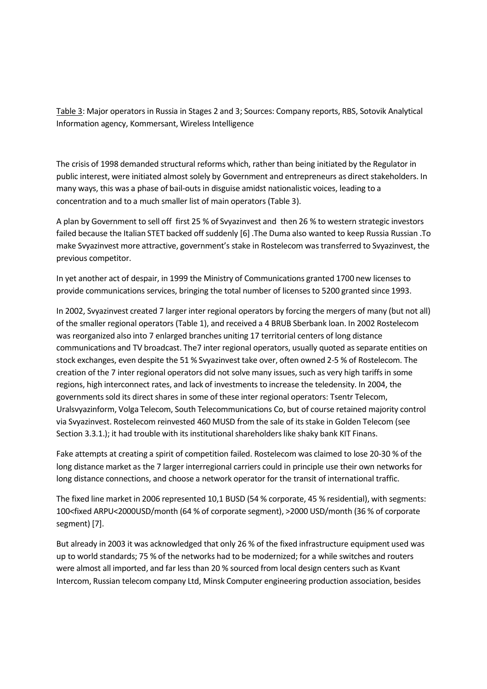Table 3: Major operators in Russia in Stages 2 and 3; Sources: Company reports, RBS, Sotovik Analytical Information agency, Kommersant, Wireless Intelligence

The crisis of 1998 demanded structural reforms which, rather than being initiated by the Regulator in public interest, were initiated almost solely by Government and entrepreneurs as direct stakeholders. In many ways, this was a phase of bail-outs in disguise amidst nationalistic voices, leading to a concentration and to a much smaller list of main operators (Table 3).

A plan by Government to sell off first 25 % of Svyazinvest and then 26 % to western strategic investors failed because the Italian STET backed off suddenly [6] .The Duma also wanted to keep Russia Russian .To make Svyazinvest more attractive, government's stake in Rostelecom was transferred to Svyazinvest, the previous competitor.

In yet another act of despair, in 1999 the Ministry of Communications granted 1700 new licenses to provide communications services, bringing the total number of licenses to 5200 granted since 1993.

In 2002, Svyazinvest created 7 larger inter regional operators by forcing the mergers of many (but not all) of the smaller regional operators (Table 1), and received a 4 BRUB Sberbank loan. In 2002 Rostelecom was reorganized also into 7 enlarged branches uniting 17 territorial centers of long distance communications and TV broadcast. The7 inter regional operators, usually quoted as separate entities on stock exchanges, even despite the 51 % Svyazinvest take over, often owned 2-5 % of Rostelecom. The creation of the 7 inter regional operators did not solve many issues, such as very high tariffs in some regions, high interconnect rates, and lack of investments to increase the teledensity. In 2004, the governments sold its direct shares in some of these inter regional operators: Tsentr Telecom, Uralsvyazinform, Volga Telecom, South Telecommunications Co, but of course retained majority control via Svyazinvest. Rostelecom reinvested 460 MUSD from the sale of its stake in Golden Telecom (see Section 3.3.1.); it had trouble with its institutional shareholders like shaky bank KIT Finans.

Fake attempts at creating a spirit of competition failed. Rostelecom was claimed to lose 20-30 % of the long distance market as the 7 larger interregional carriers could in principle use their own networks for long distance connections, and choose a network operator for the transit of international traffic.

The fixed line market in 2006 represented 10,1 BUSD (54 % corporate, 45 % residential), with segments: 100<fixed ARPU<2000USD/month (64 % of corporate segment), >2000 USD/month (36 % of corporate segment) [7].

But already in 2003 it was acknowledged that only 26 % of the fixed infrastructure equipment used was up to world standards; 75 % of the networks had to be modernized; for a while switches and routers were almost all imported, and far less than 20 % sourced from local design centers such as Kvant Intercom, Russian telecom company Ltd, Minsk Computer engineering production association, besides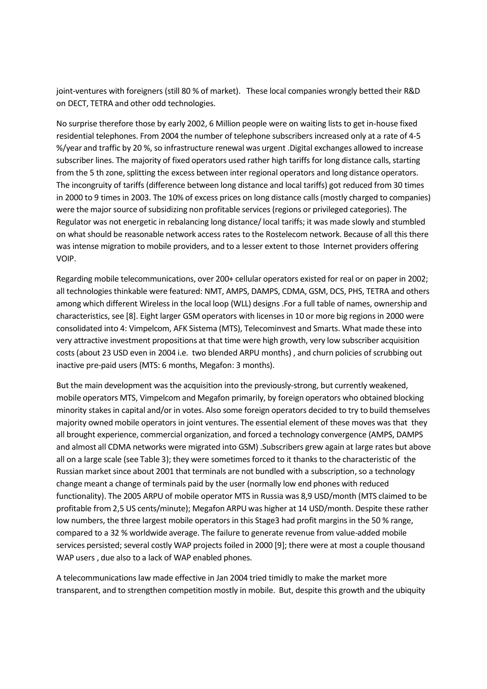joint-ventures with foreigners (still 80 % of market). These local companies wrongly betted their R&D on DECT, TETRA and other odd technologies.

No surprise therefore those by early 2002, 6 Million people were on waiting lists to get in-house fixed residential telephones. From 2004 the number of telephone subscribers increased only at a rate of 4-5 %/year and traffic by 20 %, so infrastructure renewal was urgent .Digital exchanges allowed to increase subscriber lines. The majority of fixed operators used rather high tariffs for long distance calls, starting from the 5 th zone, splitting the excess between inter regional operators and long distance operators. The incongruity of tariffs (difference between long distance and local tariffs) got reduced from 30 times in 2000 to 9 times in 2003. The 10% of excess prices on long distance calls (mostly charged to companies) were the major source of subsidizing non profitable services (regions or privileged categories). The Regulator was not energetic in rebalancing long distance/ local tariffs; it was made slowly and stumbled on what should be reasonable network access rates to the Rostelecom network. Because of all this there was intense migration to mobile providers, and to a lesser extent to those Internet providers offering VOIP.

Regarding mobile telecommunications, over 200+ cellular operators existed for real or on paper in 2002; all technologies thinkable were featured: NMT, AMPS, DAMPS, CDMA, GSM, DCS, PHS, TETRA and others among which different Wireless in the local loop (WLL) designs .For a full table of names, ownership and characteristics, see [8]. Eight larger GSM operators with licenses in 10 or more big regions in 2000 were consolidated into 4: Vimpelcom, AFK Sistema (MTS), Telecominvest and Smarts. What made these into very attractive investment propositions at that time were high growth, very low subscriber acquisition costs (about 23 USD even in 2004 i.e. two blended ARPU months), and churn policies of scrubbing out inactive pre-paid users (MTS: 6 months, Megafon: 3 months).

But the main development was the acquisition into the previously-strong, but currently weakened, mobile operators MTS, Vimpelcom and Megafon primarily, by foreign operators who obtained blocking minority stakes in capital and/or in votes. Also some foreign operators decided to try to build themselves majority owned mobile operators in joint ventures. The essential element of these moves was that they all brought experience, commercial organization, and forced a technology convergence (AMPS, DAMPS and almost all CDMA networks were migrated into GSM) .Subscribers grew again at large rates but above all on a large scale (see Table 3); they were sometimes forced to it thanks to the characteristic of the Russian market since about 2001 that terminals are not bundled with a subscription, so a technology change meant a change of terminals paid by the user (normally low end phones with reduced functionality). The 2005 ARPU of mobile operator MTS in Russia was 8,9 USD/month (MTS claimed to be profitable from 2,5 US cents/minute); Megafon ARPU was higher at 14 USD/month. Despite these rather low numbers, the three largest mobile operators in this Stage3 had profit margins in the 50 % range, compared to a 32 % worldwide average. The failure to generate revenue from value-added mobile services persisted; several costly WAP projects foiled in 2000 [9]; there were at most a couple thousand WAP users , due also to a lack of WAP enabled phones.

A telecommunications law made effective in Jan 2004 tried timidly to make the market more transparent, and to strengthen competition mostly in mobile. But, despite this growth and the ubiquity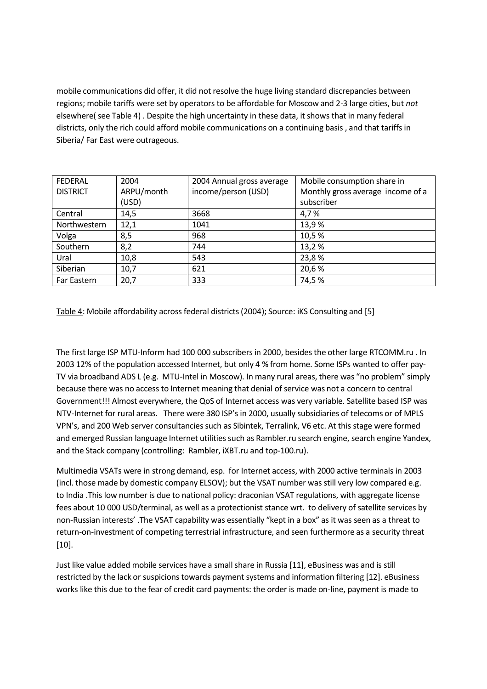mobile communications did offer, it did not resolve the huge living standard discrepancies between regions; mobile tariffs were set by operators to be affordable for Moscow and 2-3 large cities, but *not* elsewhere( see Table 4) . Despite the high uncertainty in these data, it shows that in many federal districts, only the rich could afford mobile communications on a continuing basis , and that tariffs in Siberia/ Far East were outrageous.

| <b>FEDERAL</b>  | 2004       | 2004 Annual gross average | Mobile consumption share in       |
|-----------------|------------|---------------------------|-----------------------------------|
| <b>DISTRICT</b> | ARPU/month | income/person (USD)       | Monthly gross average income of a |
|                 | (USD)      |                           | subscriber                        |
| Central         | 14,5       | 3668                      | 4,7%                              |
| Northwestern    | 12,1       | 1041                      | 13,9%                             |
| Volga           | 8,5        | 968                       | 10,5%                             |
| Southern        | 8,2        | 744                       | 13,2%                             |
| Ural            | 10,8       | 543                       | 23,8%                             |
| Siberian        | 10,7       | 621                       | 20,6%                             |
| Far Eastern     | 20,7       | 333                       | 74,5%                             |

Table 4: Mobile affordability across federal districts (2004); Source: iKS Consulting and [5]

The first large ISP MTU-Inform had 100 000 subscribers in 2000, besides the other large RTCOMM.ru . In 2003 12% of the population accessed Internet, but only 4 % from home. Some ISPs wanted to offer pay-TV via broadband ADS L (e.g. MTU-Intel in Moscow). In many rural areas, there was "no problem" simply because there was no access to Internet meaning that denial of service was not a concern to central Government!!! Almost everywhere, the QoS of Internet access was very variable. Satellite based ISP was NTV-Internet for rural areas. There were 380 ISP's in 2000, usually subsidiaries of telecoms or of MPLS VPN's, and 200 Web server consultancies such as Sibintek, Terralink, V6 etc. At this stage were formed and emerged Russian language Internet utilities such as Rambler.ru search engine, search engine Yandex, and the Stack company (controlling: Rambler, iXBT.ru and top-100.ru).

Multimedia VSATs were in strong demand, esp. for Internet access, with 2000 active terminals in 2003 (incl. those made by domestic company ELSOV); but the VSAT number was still very low compared e.g. to India .This low number is due to national policy: draconian VSAT regulations, with aggregate license fees about 10 000 USD/terminal, as well as a protectionist stance wrt. to delivery of satellite services by non-Russian interests' .The VSAT capability was essentially "kept in a box" as it was seen as a threat to return-on-investment of competing terrestrial infrastructure, and seen furthermore as a security threat [10].

Just like value added mobile services have a small share in Russia [11], eBusiness was and is still restricted by the lack or suspicions towards payment systems and information filtering [12]. eBusiness works like this due to the fear of credit card payments: the order is made on-line, payment is made to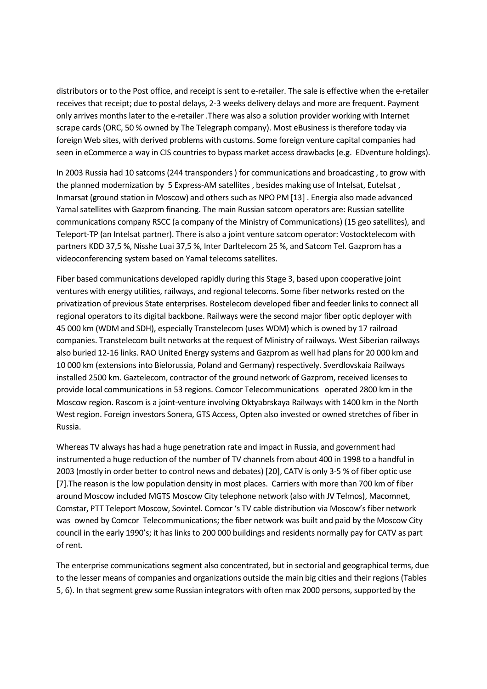distributors or to the Post office, and receipt is sent to e-retailer. The sale is effective when the e-retailer receives that receipt; due to postal delays, 2-3 weeks delivery delays and more are frequent. Payment only arrives months later to the e-retailer .There was also a solution provider working with Internet scrape cards (ORC, 50 % owned by The Telegraph company). Most eBusiness is therefore today via foreign Web sites, with derived problems with customs. Some foreign venture capital companies had seen in eCommerce a way in CIS countries to bypass market access drawbacks (e.g. EDventure holdings).

In 2003 Russia had 10 satcoms (244 transponders ) for communications and broadcasting , to grow with the planned modernization by 5 Express-AM satellites , besides making use of Intelsat, Eutelsat , Inmarsat (ground station in Moscow) and others such as NPO PM [13] . Energia also made advanced Yamal satellites with Gazprom financing. The main Russian satcom operators are: Russian satellite communications company RSCC (a company of the Ministry of Communications) (15 geo satellites), and Teleport-TP (an Intelsat partner). There is also a joint venture satcom operator: Vostocktelecom with partners KDD 37,5 %, Nisshe Luai 37,5 %, Inter Darltelecom 25 %, and Satcom Tel. Gazprom has a videoconferencing system based on Yamal telecoms satellites.

Fiber based communications developed rapidly during this Stage 3, based upon cooperative joint ventures with energy utilities, railways, and regional telecoms. Some fiber networks rested on the privatization of previous State enterprises. Rostelecom developed fiber and feeder links to connect all regional operators to its digital backbone. Railways were the second major fiber optic deployer with 45 000 km (WDM and SDH), especially Transtelecom (uses WDM) which is owned by 17 railroad companies. Transtelecom built networks at the request of Ministry of railways. West Siberian railways also buried 12-16 links. RAO United Energy systems and Gazprom as well had plans for 20 000 km and 10 000 km (extensions into Bielorussia, Poland and Germany) respectively. Sverdlovskaia Railways installed 2500 km. Gaztelecom, contractor of the ground network of Gazprom, received licenses to provide local communications in 53 regions. Comcor Telecommunications operated 2800 km in the Moscow region. Rascom is a joint-venture involving Oktyabrskaya Railways with 1400 km in the North West region. Foreign investors Sonera, GTS Access, Opten also invested or owned stretches of fiber in Russia.

Whereas TV always has had a huge penetration rate and impact in Russia, and government had instrumented a huge reduction of the number of TV channels from about 400 in 1998 to a handful in 2003 (mostly in order better to control news and debates) [20], CATV is only 3-5 % of fiber optic use [7].The reason is the low population density in most places. Carriers with more than 700 km of fiber around Moscow included MGTS Moscow City telephone network (also with JV Telmos), Macomnet, Comstar, PTT Teleport Moscow, Sovintel. Comcor 's TV cable distribution via Moscow's fiber network was owned by Comcor Telecommunications; the fiber network was built and paid by the Moscow City council in the early 1990's; it has links to 200 000 buildings and residents normally pay for CATV as part of rent.

The enterprise communications segment also concentrated, but in sectorial and geographical terms, due to the lesser means of companies and organizations outside the main big cities and their regions (Tables 5, 6). In that segment grew some Russian integrators with often max 2000 persons, supported by the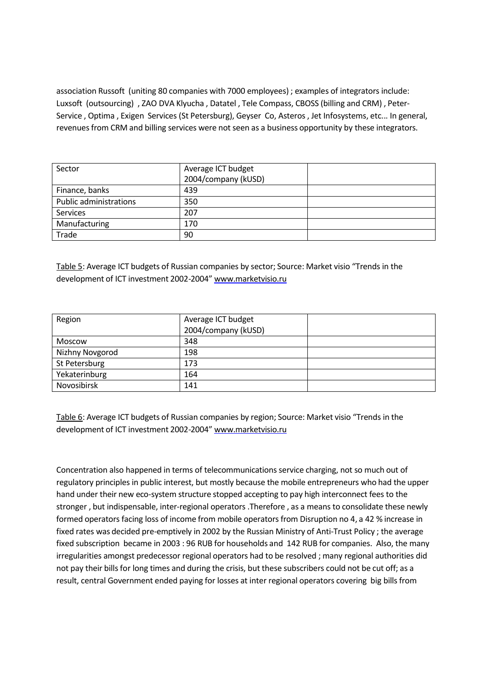association Russoft (uniting 80 companies with 7000 employees) ; examples of integrators include: Luxsoft (outsourcing) , ZAO DVA Klyucha, Datatel, Tele Compass, CBOSS (billing and CRM), Peter-Service , Optima , Exigen Services (St Petersburg), Geyser Co, Asteros , Jet Infosystems, etc... In general, revenues from CRM and billing services were not seen as a business opportunity by these integrators.

| Sector                        | Average ICT budget  |  |
|-------------------------------|---------------------|--|
|                               | 2004/company (kUSD) |  |
| Finance, banks                | 439                 |  |
| <b>Public administrations</b> | 350                 |  |
| <b>Services</b>               | 207                 |  |
| Manufacturing                 | 170                 |  |
| Trade                         | 90                  |  |

Table 5: Average ICT budgets of Russian companies by sector; Source: Market visio "Trends in the development of ICT investment 2002-2004" <www.marketvisio.ru>

| Region          | Average ICT budget  |  |
|-----------------|---------------------|--|
|                 | 2004/company (kUSD) |  |
| Moscow          | 348                 |  |
| Nizhny Novgorod | 198                 |  |
| St Petersburg   | 173                 |  |
| Yekaterinburg   | 164                 |  |
| Novosibirsk     | 141                 |  |

Table 6: Average ICT budgets of Russian companies by region; Source: Market visio "Trends in the development of ICT investment 2002-2004" <www.marketvisio.ru>

Concentration also happened in terms of telecommunications service charging, not so much out of regulatory principles in public interest, but mostly because the mobile entrepreneurs who had the upper hand under their new eco-system structure stopped accepting to pay high interconnect fees to the stronger , but indispensable, inter-regional operators .Therefore , as a means to consolidate these newly formed operators facing loss of income from mobile operators from Disruption no 4, a 42 % increase in fixed rates was decided pre-emptively in 2002 by the Russian Ministry of Anti-Trust Policy ; the average fixed subscription became in 2003 : 96 RUB for households and 142 RUB for companies. Also, the many irregularities amongst predecessor regional operators had to be resolved ; many regional authorities did not pay their bills for long times and during the crisis, but these subscribers could not be cut off; as a result, central Government ended paying for losses at inter regional operators covering big bills from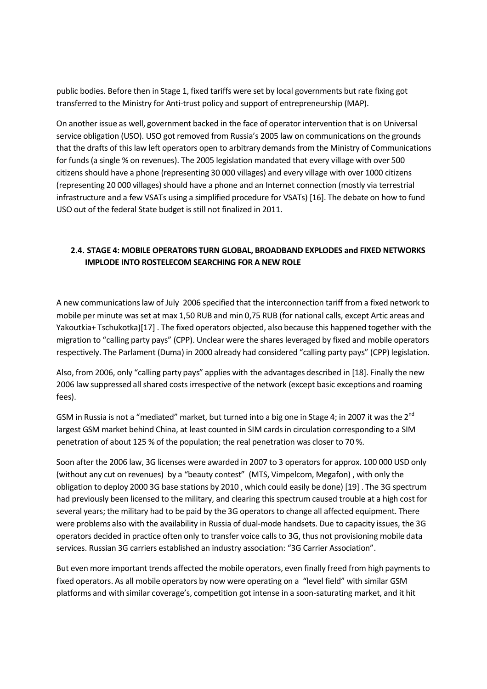public bodies. Before then in Stage 1, fixed tariffs were set by local governments but rate fixing got transferred to the Ministry for Anti-trust policy and support of entrepreneurship (MAP).

On another issue as well, government backed in the face of operator intervention that is on Universal service obligation (USO). USO got removed from Russia's 2005 law on communications on the grounds that the drafts of this law left operators open to arbitrary demands from the Ministry of Communications for funds (a single % on revenues). The 2005 legislation mandated that every village with over 500 citizens should have a phone (representing 30 000 villages) and every village with over 1000 citizens (representing 20 000 villages) should have a phone and an Internet connection (mostly via terrestrial infrastructure and a few VSATs using a simplified procedure for VSATs) [16]. The debate on how to fund USO out of the federal State budget is still not finalized in 2011.

## **2.4. STAGE 4: MOBILE OPERATORS TURN GLOBAL, BROADBAND EXPLODES and FIXED NETWORKS IMPLODE INTO ROSTELECOM SEARCHING FOR A NEW ROLE**

A new communications law of July 2006 specified that the interconnection tariff from a fixed network to mobile per minute was set at max 1,50 RUB and min 0,75 RUB (for national calls, except Artic areas and Yakoutkia+ Tschukotka)[17] . The fixed operators objected, also because this happened together with the migration to "calling party pays" (CPP). Unclear were the shares leveraged by fixed and mobile operators respectively. The Parlament (Duma) in 2000 already had considered "calling party pays" (CPP) legislation.

Also, from 2006, only "calling party pays" applies with the advantages described in [18]. Finally the new 2006 law suppressed all shared costs irrespective of the network (except basic exceptions and roaming fees).

GSM in Russia is not a "mediated" market, but turned into a big one in Stage 4; in 2007 it was the 2<sup>nd</sup> largest GSM market behind China, at least counted in SIM cards in circulation corresponding to a SIM penetration of about 125 % of the population; the real penetration was closer to 70 %.

Soon after the 2006 law, 3G licenses were awarded in 2007 to 3 operators for approx. 100 000 USD only (without any cut on revenues) by a "beauty contest" (MTS, Vimpelcom, Megafon) , with only the obligation to deploy 2000 3G base stations by 2010 , which could easily be done) [19] . The 3G spectrum had previously been licensed to the military, and clearing this spectrum caused trouble at a high cost for several years; the military had to be paid by the 3G operators to change all affected equipment. There were problems also with the availability in Russia of dual-mode handsets. Due to capacity issues, the 3G operators decided in practice often only to transfer voice calls to 3G, thus not provisioning mobile data services. Russian 3G carriers established an industry association: "3G Carrier Association".

But even more important trends affected the mobile operators, even finally freed from high payments to fixed operators. As all mobile operators by now were operating on a "level field" with similar GSM platforms and with similar coverage's, competition got intense in a soon-saturating market, and it hit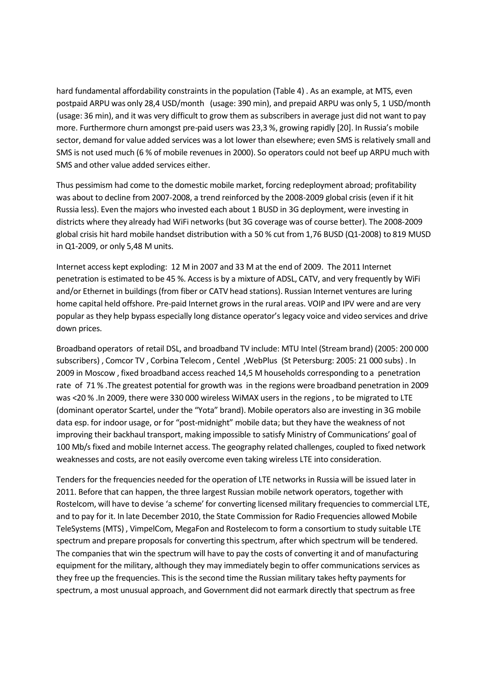hard fundamental affordability constraints in the population (Table 4) . As an example, at MTS, even postpaid ARPU was only 28,4 USD/month (usage: 390 min), and prepaid ARPU was only 5, 1 USD/month (usage: 36 min), and it was very difficult to grow them as subscribers in average just did not want to pay more. Furthermore churn amongst pre-paid users was 23,3 %, growing rapidly [20]. In Russia's mobile sector, demand for value added services was a lot lower than elsewhere; even SMS is relatively small and SMS is not used much (6 % of mobile revenues in 2000). So operators could not beef up ARPU much with SMS and other value added services either.

Thus pessimism had come to the domestic mobile market, forcing redeployment abroad; profitability was about to decline from 2007-2008, a trend reinforced by the 2008-2009 global crisis (even if it hit Russia less). Even the majors who invested each about 1 BUSD in 3G deployment, were investing in districts where they already had WiFi networks (but 3G coverage was of course better). The 2008-2009 global crisis hit hard mobile handset distribution with a 50 % cut from 1,76 BUSD (Q1-2008) to 819 MUSD in Q1-2009, or only 5,48 M units.

Internet access kept exploding: 12 M in 2007 and 33 M at the end of 2009. The 2011 Internet penetration is estimated to be 45 %. Access is by a mixture of ADSL, CATV, and very frequently by WiFi and/or Ethernet in buildings (from fiber or CATV head stations). Russian Internet ventures are luring home capital held offshore. Pre-paid Internet grows in the rural areas. VOIP and IPV were and are very popular as they help bypass especially long distance operator's legacy voice and video services and drive down prices.

Broadband operators of retail DSL, and broadband TV include: MTU Intel (Stream brand) (2005: 200 000 subscribers) , Comcor TV , Corbina Telecom , Centel ,WebPlus (St Petersburg: 2005: 21 000 subs) . In 2009 in Moscow , fixed broadband access reached 14,5 M households corresponding to a penetration rate of 71 % .The greatest potential for growth was in the regions were broadband penetration in 2009 was <20 % .In 2009, there were 330 000 wireless WiMAX users in the regions , to be migrated to LTE (dominant operator Scartel, under the "Yota" brand). Mobile operators also are investing in 3G mobile data esp. for indoor usage, or for "post-midnight" mobile data; but they have the weakness of not improving their backhaul transport, making impossible to satisfy Ministry of Communications' goal of 100 Mb/s fixed and mobile Internet access. The geography related challenges, coupled to fixed network weaknesses and costs, are not easily overcome even taking wireless LTE into consideration.

Tenders for the frequencies needed for the operation of LTE networks in Russia will be issued later in 2011. Before that can happen, the three largest Russian mobile network operators, together with Rostelcom, will have to devise 'a scheme' for converting licensed military frequencies to commercial LTE, and to pay for it. In late December 2010, the State Commission for Radio Frequencies allowed Mobile TeleSystems (MTS) , VimpelCom, MegaFon and Rostelecom to form a consortium to study suitable LTE spectrum and prepare proposals for converting this spectrum, after which spectrum will be tendered. The companies that win the spectrum will have to pay the costs of converting it and of manufacturing equipment for the military, although they may immediately begin to offer communications services as they free up the frequencies. This is the second time the Russian military takes hefty payments for spectrum, a most unusual approach, and Government did not earmark directly that spectrum as free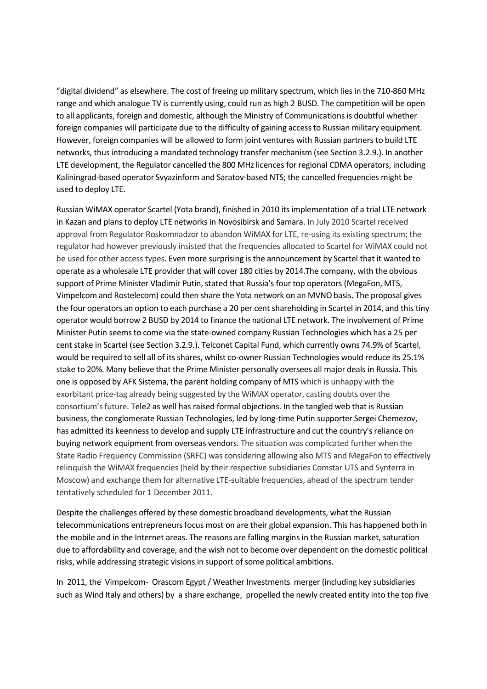"digital dividend" as elsewhere. The cost of freeing up military spectrum, which lies in the 710-860 MHz range and which analogue TV is currently using, could run as high 2 BUSD. The competition will be open to all applicants, foreign and domestic, although the Ministry of Communications is doubtful whether foreign companies will participate due to the difficulty of gaining access to Russian military equipment. However, foreign companies will be allowed to form joint ventures with Russian partners to build LTE networks, thus introducing a mandated technology transfer mechanism (see Section 3.2.9.). In another LTE development, the Regulator cancelled the 800 MHz licences for regional CDMA operators, including Kaliningrad-based operator Svyazinform and Saratov-based NTS; the cancelled frequencies might be used to deploy LTE.

Russian WiMAX operator Scartel (Yota brand), finished in 2010 its implementation of a trial LTE network in Kazan and plans to deploy LTE networks in Novosibirsk and Samara. In July 2010 Scartel received approval from Regulator Roskomnadzor to abandon WiMAX for LTE, re-using its existing spectrum; the regulator had however previously insisted that the frequencies allocated to Scartel for WiMAX could not be used for other access types. Even more surprising is the announcement by Scartel that it wanted to operate as a wholesale LTE provider that will cover 180 cities by 2014.The company, with the obvious support of Prime Minister Vladimir Putin, stated that Russia's four top operators (MegaFon, MTS, Vimpelcom and Rostelecom) could then share the Yota network on an MVNO basis. The proposal gives the four operators an option to each purchase a 20 per cent shareholding in Scartel in 2014, and this tiny operator would borrow 2 BUSD by 2014 to finance the national LTE network. The involvement of Prime Minister Putin seems to come via the state-owned company Russian Technologies which has a 25 per cent stake in Scartel (see Section 3.2.9.). Telconet Capital Fund, which currently owns 74.9% of Scartel, would be required to sell all of its shares, whilst co-owner Russian Technologies would reduce its 25.1% stake to 20%. Many believe that the Prime Minister personally oversees all major deals in Russia. This one is opposed by AFK Sistema, the parent holding company of MTS which is unhappy with the exorbitant price-tag already being suggested by the WiMAX operator, casting doubts over the consortium's future. Tele2 as well has raised formal objections. In the tangled web that is Russian business, the conglomerate Russian Technologies, led by long-time Putin supporter Sergei Chemezov, has admitted its keenness to develop and supply LTE infrastructure and cut the country's reliance on buying network equipment from overseas vendors. The situation was complicated further when the State Radio Frequency Commission (SRFC) was considering allowing also MTS and MegaFon to effectively relinquish the WiMAX frequencies (held by their respective subsidiaries Comstar UTS and Synterra in Moscow) and exchange them for alternative LTE-suitable frequencies, ahead of the spectrum tender tentatively scheduled for 1 December 2011.

Despite the challenges offered by these domestic broadband developments, what the Russian telecommunications entrepreneurs focus most on are their global expansion. This has happened both in the mobile and in the Internet areas. The reasons are falling margins in the Russian market, saturation due to affordability and coverage, and the wish not to become over dependent on the domestic political risks, while addressing strategic visions in support of some political ambitions.

In 2011, the Vimpelcom- Orascom Egypt / Weather Investments merger (including key subsidiaries such as Wind Italy and others) by a share exchange, propelled the newly created entity into the top five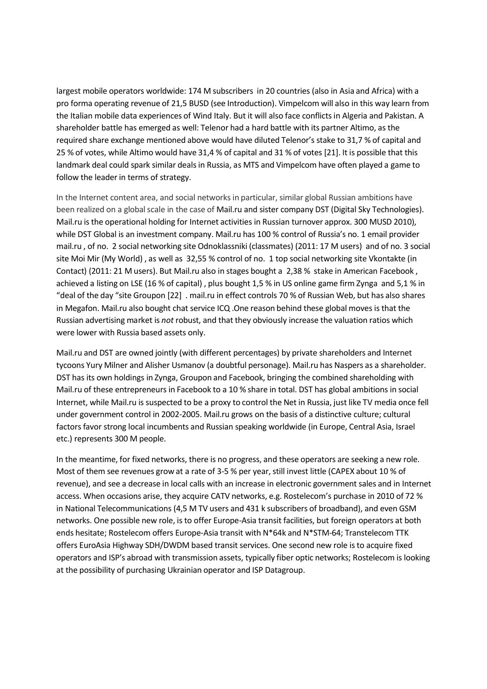largest mobile operators worldwide: 174 M subscribers in 20 countries (also in Asia and Africa) with a pro forma operating revenue of 21,5 BUSD (see Introduction). Vimpelcom will also in this way learn from the Italian mobile data experiences of Wind Italy. But it will also face conflicts in Algeria and Pakistan. A shareholder battle has emerged as well: Telenor had a hard battle with its partner Altimo, as the required share exchange mentioned above would have diluted Telenor's stake to 31,7 % of capital and 25 % of votes, while Altimo would have 31,4 % of capital and 31 % of votes [21]. It is possible that this landmark deal could spark similar deals in Russia, as MTS and Vimpelcom have often played a game to follow the leader in terms of strategy.

In the Internet content area, and social networks in particular, similar global Russian ambitions have been realized on a global scale in the case of Mail.ru and sister company DST (Digital Sky Technologies). Mail.ru is the operational holding for Internet activities in Russian turnover approx. 300 MUSD 2010), while DST Global is an investment company. Mail.ru has 100 % control of Russia's no. 1 email provider mail.ru , of no. 2 social networking site Odnoklassniki (classmates) (2011: 17 M users) and of no. 3 social site Moi Mir (My World) , as well as 32,55 % control of no. 1 top social networking site Vkontakte (in Contact) (2011: 21 M users). But Mail.ru also in stages bought a 2,38 % stake in American Facebook , achieved a listing on LSE (16 % of capital) , plus bought 1,5 % in US online game firm Zynga and 5,1 % in "deal of the day "site Groupon [22] . mail.ru in effect controls 70 % of Russian Web, but has also shares in Megafon. Mail.ru also bought chat service ICQ .One reason behind these global moves is that the Russian advertising market is *not* robust, and that they obviously increase the valuation ratios which were lower with Russia based assets only.

Mail.ru and DST are owned jointly (with different percentages) by private shareholders and Internet tycoons Yury Milner and Alisher Usmanov (a doubtful personage). Mail.ru has Naspers as a shareholder. DST has its own holdings in Zynga, Groupon and Facebook, bringing the combined shareholding with Mail.ru of these entrepreneurs in Facebook to a 10 % share in total. DST has global ambitions in social Internet, while Mail.ru is suspected to be a proxy to control the Net in Russia, just like TV media once fell under government control in 2002-2005. Mail.ru grows on the basis of a distinctive culture; cultural factors favor strong local incumbents and Russian speaking worldwide (in Europe, Central Asia, Israel etc.) represents 300 M people.

In the meantime, for fixed networks, there is no progress, and these operators are seeking a new role. Most of them see revenues grow at a rate of 3-5 % per year, still invest little (CAPEX about 10 % of revenue), and see a decrease in local calls with an increase in electronic government sales and in Internet access. When occasions arise, they acquire CATV networks, e.g. Rostelecom's purchase in 2010 of 72 % in National Telecommunications (4,5 M TV users and 431 k subscribers of broadband), and even GSM networks. One possible new role, is to offer Europe-Asia transit facilities, but foreign operators at both ends hesitate; Rostelecom offers Europe-Asia transit with N\*64k and N\*STM-64; Transtelecom TTK offers EuroAsia Highway SDH/DWDM based transit services. One second new role is to acquire fixed operators and ISP's abroad with transmission assets, typically fiber optic networks; Rostelecom is looking at the possibility of purchasing Ukrainian operator and ISP Datagroup.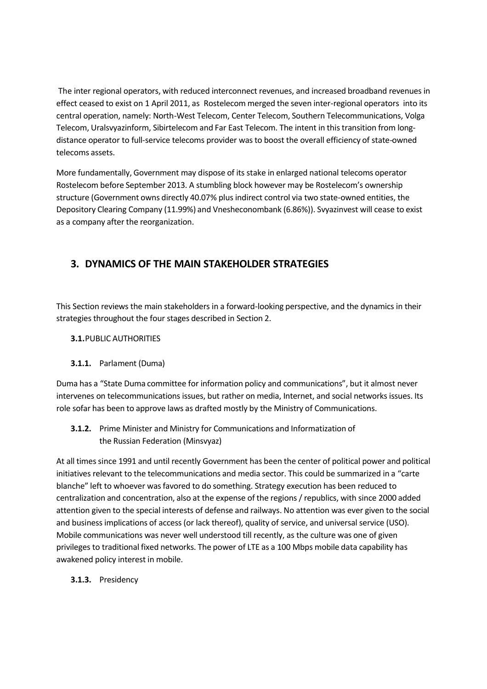The inter regional operators, with reduced interconnect revenues, and increased broadband revenues in effect ceased to exist on 1 April 2011, as Rostelecom merged the seven inter-regional operators into its central operation, namely: North-West Telecom, Center Telecom, Southern Telecommunications, Volga Telecom, Uralsvyazinform, Sibirtelecom and Far East Telecom. The intent in this transition from longdistance operator to full-service telecoms provider was to boost the overall efficiency of state-owned telecoms assets.

More fundamentally, Government may dispose of its stake in enlarged national telecoms operator Rostelecom before September 2013. A stumbling block however may be Rostelecom's ownership structure (Government owns directly 40.07% plus indirect control via two state-owned entities, the Depository Clearing Company (11.99%) and Vnesheconombank (6.86%)). Svyazinvest will cease to exist as a company after the reorganization.

## **3. DYNAMICS OF THE MAIN STAKEHOLDER STRATEGIES**

This Section reviews the main stakeholders in a forward-looking perspective, and the dynamics in their strategies throughout the four stages described in Section 2.

## **3.1.**PUBLIC AUTHORITIES

#### **3.1.1.** Parlament (Duma)

Duma has a "State Duma committee for information policy and communications", but it almost never intervenes on telecommunications issues, but rather on media, Internet, and social networks issues. Its role sofar has been to approve laws as drafted mostly by the Ministry of Communications.

## **3.1.2.** Prime Minister and Ministry for Communications and Informatization of the Russian Federation (Minsvyaz)

At all times since 1991 and until recently Government has been the center of political power and political initiatives relevant to the telecommunications and media sector. This could be summarized in a "carte blanche" left to whoever was favored to do something. Strategy execution has been reduced to centralization and concentration, also at the expense of the regions / republics, with since 2000 added attention given to the special interests of defense and railways. No attention was ever given to the social and business implications of access (or lack thereof), quality of service, and universal service (USO). Mobile communications was never well understood till recently, as the culture was one of given privileges to traditional fixed networks. The power of LTE as a 100 Mbps mobile data capability has awakened policy interest in mobile.

#### **3.1.3.** Presidency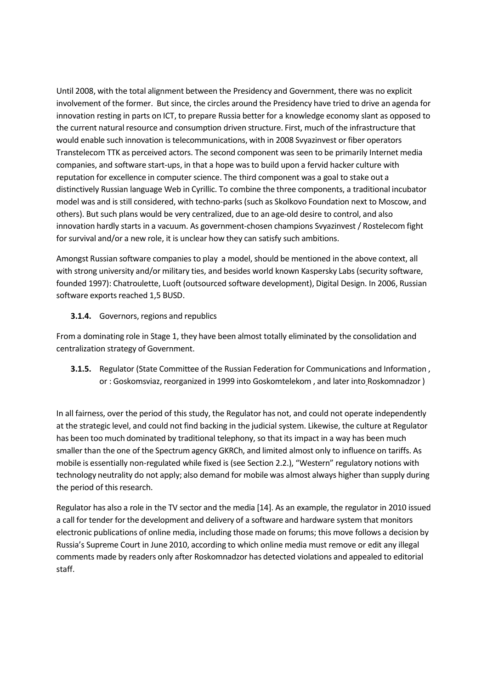Until 2008, with the total alignment between the Presidency and Government, there was no explicit involvement of the former. But since, the circles around the Presidency have tried to drive an agenda for innovation resting in parts on ICT, to prepare Russia better for a knowledge economy slant as opposed to the current natural resource and consumption driven structure. First, much of the infrastructure that would enable such innovation is telecommunications, with in 2008 Svyazinvest or fiber operators Transtelecom TTK as perceived actors. The second component was seen to be primarily Internet media companies, and software start-ups, in that a hope was to build upon a fervid hacker culture with reputation for excellence in computer science. The third component was a goal to stake out a distinctively Russian language Web in Cyrillic. To combine the three components, a traditional incubator model was and is still considered, with techno-parks (such as Skolkovo Foundation next to Moscow, and others). But such plans would be very centralized, due to an age-old desire to control, and also innovation hardly starts in a vacuum. As government-chosen champions Svyazinvest / Rostelecom fight for survival and/or a new role, it is unclear how they can satisfy such ambitions.

Amongst Russian software companies to play a model, should be mentioned in the above context, all with strong university and/or military ties, and besides world known Kaspersky Labs (security software, founded 1997): Chatroulette, Luoft (outsourced software development), Digital Design. In 2006, Russian software exports reached 1,5 BUSD.

**3.1.4.** Governors, regions and republics

From a dominating role in Stage 1, they have been almost totally eliminated by the consolidation and centralization strategy of Government.

**3.1.5.** Regulator (State Committee of the Russian Federation for Communications and Information , or : Goskomsviaz, reorganized in 1999 into Goskomtelekom , and later into Roskomnadzor )

In all fairness, over the period of this study, the Regulator has not, and could not operate independently at the strategic level, and could not find backing in the judicial system. Likewise, the culture at Regulator has been too much dominated by traditional telephony, so that its impact in a way has been much smaller than the one of the Spectrum agency GKRCh, and limited almost only to influence on tariffs. As mobile is essentially non-regulated while fixed is (see Section 2.2.), "Western" regulatory notions with technology neutrality do not apply; also demand for mobile was almost always higher than supply during the period of this research.

Regulator has also a role in the TV sector and the media [14]. As an example, the regulator in 2010 issued a call for tender for the development and delivery of a software and hardware system that monitors electronic publications of online media, including those made on forums; this move follows a decision by Russia's Supreme Court in June 2010, according to which online media must remove or edit any illegal comments made by readers only after Roskomnadzor has detected violations and appealed to editorial staff.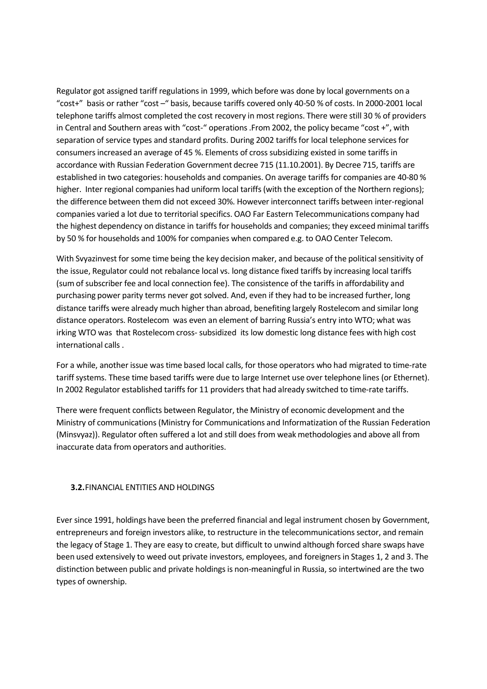Regulator got assigned tariff regulations in 1999, which before was done by local governments on a "cost+" basis or rather "cost –" basis, because tariffs covered only 40-50 % of costs. In 2000-2001 local telephone tariffs almost completed the cost recovery in most regions. There were still 30 % of providers in Central and Southern areas with "cost-" operations .From 2002, the policy became "cost +", with separation of service types and standard profits. During 2002 tariffs for local telephone services for consumers increased an average of 45 %. Elements of cross subsidizing existed in some tariffs in accordance with Russian Federation Government decree 715 (11.10.2001). By Decree 715, tariffs are established in two categories: households and companies. On average tariffs for companies are 40-80 % higher. Inter regional companies had uniform local tariffs (with the exception of the Northern regions); the difference between them did not exceed 30%. However interconnect tariffs between inter-regional companies varied a lot due to territorial specifics. OAO Far Eastern Telecommunications company had the highest dependency on distance in tariffs for households and companies; they exceed minimal tariffs by 50 % for households and 100% for companies when compared e.g. to OAO Center Telecom.

With Svyazinvest for some time being the key decision maker, and because of the political sensitivity of the issue, Regulator could not rebalance local vs. long distance fixed tariffs by increasing local tariffs (sum of subscriber fee and local connection fee). The consistence of the tariffs in affordability and purchasing power parity terms never got solved. And, even if they had to be increased further, long distance tariffs were already much higher than abroad, benefiting largely Rostelecom and similar long distance operators. Rostelecom was even an element of barring Russia's entry into WTO; what was irking WTO was that Rostelecom cross-subsidized its low domestic long distance fees with high cost international calls .

For a while, another issue was time based local calls, for those operators who had migrated to time-rate tariff systems. These time based tariffs were due to large Internet use over telephone lines (or Ethernet). In 2002 Regulator established tariffs for 11 providers that had already switched to time-rate tariffs.

There were frequent conflicts between Regulator, the Ministry of economic development and the Ministry of communications (Ministry for Communications and Informatization of the Russian Federation (Minsvyaz)). Regulator often suffered a lot and still does from weak methodologies and above all from inaccurate data from operators and authorities.

#### **3.2.**FINANCIAL ENTITIES AND HOLDINGS

Ever since 1991, holdings have been the preferred financial and legal instrument chosen by Government, entrepreneurs and foreign investors alike, to restructure in the telecommunications sector, and remain the legacy of Stage 1. They are easy to create, but difficult to unwind although forced share swaps have been used extensively to weed out private investors, employees, and foreigners in Stages 1, 2 and 3. The distinction between public and private holdings is non-meaningful in Russia, so intertwined are the two types of ownership.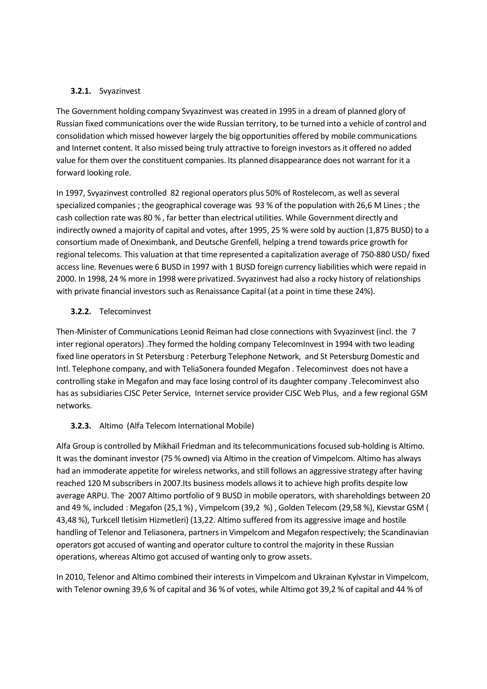#### **3.2.1.** Svyazinvest

The Government holding company Svyazinvest was created in 1995 in a dream of planned glory of Russian fixed communications over the wide Russian territory, to be turned into a vehicle of control and consolidation which missed however largely the big opportunities offered by mobile communications and Internet content. It also missed being truly attractive to foreign investors as it offered no added value for them over the constituent companies. Its planned disappearance does not warrant for it a forward looking role.

In 1997, Svyazinvest controlled 82 regional operators plus 50% of Rostelecom, as well as several specialized companies ; the geographical coverage was 93 % of the population with 26,6 M Lines ; the cash collection rate was 80 % , far better than electrical utilities. While Government directly and indirectly owned a majority of capital and votes, after 1995, 25 % were sold by auction (1,875 BUSD) to a consortium made of Oneximbank, and Deutsche Grenfell, helping a trend towards price growth for regional telecoms. This valuation at that time represented a capitalization average of 750-880 USD/ fixed access line. Revenues were 6 BUSD in 1997 with 1 BUSD foreign currency liabilities which were repaid in 2000. In 1998, 24 % more in 1998 were privatized. Svyazinvest had also a rocky history of relationships with private financial investors such as Renaissance Capital (at a point in time these 24%).

#### **3.2.2.** Telecominvest

Then-Minister of Communications Leonid Reiman had close connections with Svyazinvest (incl. the 7 inter regional operators) .They formed the holding company TelecomInvest in 1994 with two leading fixed line operators in St Petersburg : Peterburg Telephone Network, and St Petersburg Domestic and Intl. Telephone company, and with TeliaSonera founded Megafon . Telecominvest does not have a controlling stake in Megafon and may face losing control of its daughter company .Telecominvest also has as subsidiaries CJSC Peter Service, Internet service provider CJSC Web Plus, and a few regional GSM networks.

## **3.2.3.** Altimo (Alfa Telecom International Mobile)

Alfa Group is controlled by Mikhaïl Friedman and its telecommunications focused sub-holding is Altimo. It was the dominant investor (75 % owned) via Altimo in the creation of Vimpelcom. Altimo has always had an immoderate appetite for wireless networks, and still follows an aggressive strategy after having reached 120 M subscribers in 2007.Its business models allows it to achieve high profits despite low average ARPU. The 2007 Altimo portfolio of 9 BUSD in mobile operators, with shareholdings between 20 and 49 %, included : Megafon (25,1 %) , Vimpelcom (39,2 %) , Golden Telecom (29,58 %), Kievstar GSM ( 43,48 %), Turkcell Iletisim Hizmetleri) (13,22. Altimo suffered from its aggressive image and hostile handling of Telenor and Teliasonera, partners in Vimpelcom and Megafon respectively; the Scandinavian operators got accused of wanting and operator culture to control the majority in these Russian operations, whereas Altimo got accused of wanting only to grow assets.

In 2010, Telenor and Altimo combined their interests in Vimpelcom and Ukrainan Kylvstar in Vimpelcom, with Telenor owning 39,6 % of capital and 36 % of votes, while Altimo got 39,2 % of capital and 44 % of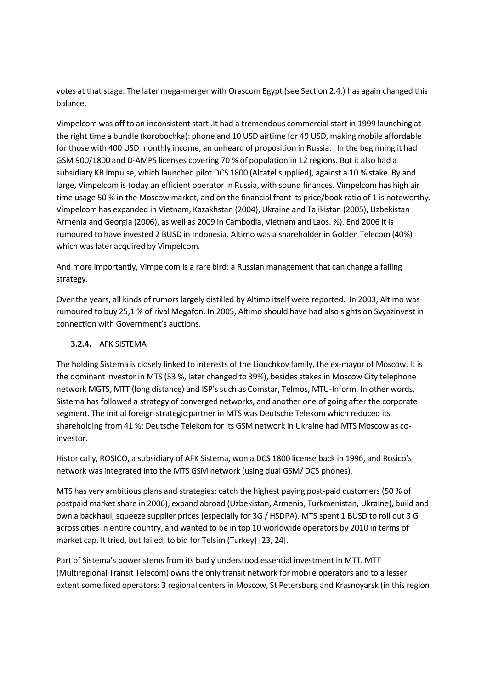votes at that stage. The later mega-merger with Orascom Egypt (see Section 2.4.) has again changed this balance.

Vimpelcom was off to an inconsistent start .It had a tremendous commercial start in 1999 launching at the right time a bundle (korobochka): phone and 10 USD airtime for 49 USD, making mobile affordable for those with 400 USD monthly income, an unheard of proposition in Russia. In the beginning it had GSM 900/1800 and D-AMPS licenses covering 70 % of population in 12 regions. But it also had a subsidiary KB Impulse, which launched pilot DCS 1800 (Alcatel supplied), against a 10 % stake. By and large, Vimpelcom is today an efficient operator in Russia, with sound finances. Vimpelcom has high air time usage 50 % in the Moscow market, and on the financial front its price/book ratio of 1 is noteworthy. Vimpelcom has expanded in Vietnam, Kazakhstan (2004), Ukraine and Tajikistan (2005), Uzbekistan Armenia and Georgia (2006), as well as 2009 in Cambodia, Vietnam and Laos. %). End 2006 it is rumoured to have invested 2 BUSD in Indonesia. Altimo was a shareholder in Golden Telecom (40%) which was later acquired by Vimpelcom.

And more importantly, Vimpelcom is a rare bird: a Russian management that can change a failing strategy.

Over the years, all kinds of rumors largely distilled by Altimo itself were reported. In 2003, Altimo was rumoured to buy 25,1 % of rival Megafon. In 2005, Altimo should have had also sights on Svyazinvest in connection with Government's auctions.

#### **3.2.4.** AFK SISTEMA

The holding Sistema is closely linked to interests of the Liouchkov family, the ex-mayor of Moscow. It is the dominant investor in MTS (53 %, later changed to 39%), besides stakes in Moscow City telephone network MGTS, MTT (long distance) and ISP's such as Comstar, Telmos, MTU-Inform. In other words, Sistema has followed a strategy of converged networks, and another one of going after the corporate segment. The initial foreign strategic partner in MTS was Deutsche Telekom which reduced its shareholding from 41 %; Deutsche Telekom for its GSM network in Ukraine had MTS Moscow as coinvestor.

Historically, ROSICO, a subsidiary of AFK Sistema, won a DCS 1800 license back in 1996, and Rosico's network was integrated into the MTS GSM network (using dual GSM/ DCS phones).

MTS has very ambitious plans and strategies: catch the highest paying post-paid customers (50 % of postpaid market share in 2006), expand abroad (Uzbekistan, Armenia, Turkmenistan, Ukraine), build and own a backhaul, squeeze supplier prices (especially for 3G / HSDPA). MTS spent 1 BUSD to roll out 3 G across cities in entire country, and wanted to be in top 10 worldwide operators by 2010 in terms of market cap. It tried, but failed, to bid for Telsim (Turkey) [23, 24].

Part of Sistema's power stems from its badly understood essential investment in MTT. MTT (Multiregional Transit Telecom) owns the only transit network for mobile operators and to a lesser extent some fixed operators: 3 regional centers in Moscow, St Petersburg and Krasnoyarsk (in this region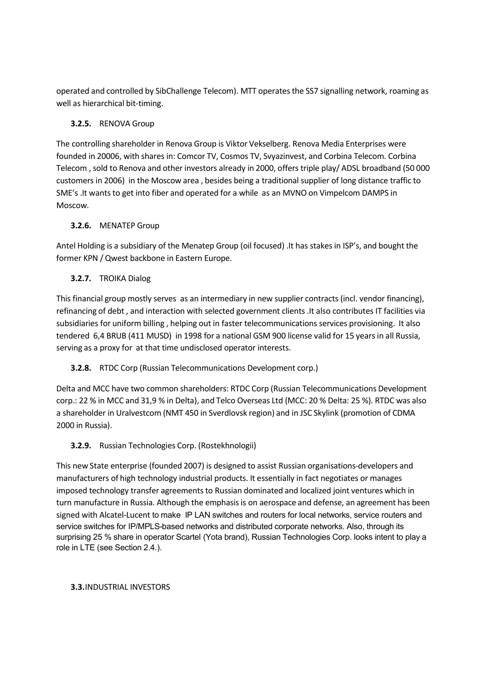operated and controlled by SibChallenge Telecom). MTT operates the SS7 signalling network, roaming as well as hierarchical bit-timing.

## **3.2.5.** RENOVA Group

The controlling shareholder in Renova Group is Viktor Vekselberg. Renova Media Enterprises were founded in 20006, with shares in: Comcor TV, Cosmos TV, Svyazinvest, and Corbina Telecom. Corbina Telecom , sold to Renova and other investors already in 2000, offers triple play/ ADSL broadband (50 000 customers in 2006) in the Moscow area , besides being a traditional supplier of long distance traffic to SME's .It wants to get into fiber and operated for a while as an MVNO on Vimpelcom DAMPS in Moscow.

## **3.2.6.** MENATEP Group

Antel Holding is a subsidiary of the Menatep Group (oil focused) .It has stakes in ISP's, and bought the former KPN / Qwest backbone in Eastern Europe.

## **3.2.7.** TROIKA Dialog

This financial group mostly serves as an intermediary in new supplier contracts (incl. vendor financing), refinancing of debt , and interaction with selected government clients .It also contributes IT facilities via subsidiaries for uniform billing , helping out in faster telecommunications services provisioning. It also tendered 6,4 BRUB (411 MUSD) in 1998 for a national GSM 900 license valid for 15 years in all Russia, serving as a proxy for at that time undisclosed operator interests.

## **3.2.8.** RTDC Corp (Russian Telecommunications Development corp.)

Delta and MCC have two common shareholders: RTDC Corp (Russian Telecommunications Development corp.: 22 % in MCC and 31,9 % in Delta), and Telco Overseas Ltd (MCC: 20 % Delta: 25 %). RTDC was also a shareholder in Uralvestcom (NMT 450 in Sverdlovsk region) and in JSC Skylink (promotion of CDMA 2000 in Russia).

## **3.2.9.** Russian Technologies Corp. (Rostekhnologii)

This new State enterprise (founded 2007) is designed to assist Russian organisations-developers and manufacturers of high technology industrial products. It essentially in fact negotiates or manages imposed technology transfer agreements to Russian dominated and localized joint ventures which in turn manufacture in Russia. Although the emphasis is on aerospace and defense, an agreement has been signed with Alcatel-Lucent to make IP LAN switches and routers for local networks, service routers and service switches for IP/MPLS-based networks and distributed corporate networks. Also, through its surprising 25 % share in operator Scartel (Yota brand), Russian Technologies Corp. looks intent to play a role in LTE (see Section 2.4.).

#### **3.3.**INDUSTRIAL INVESTORS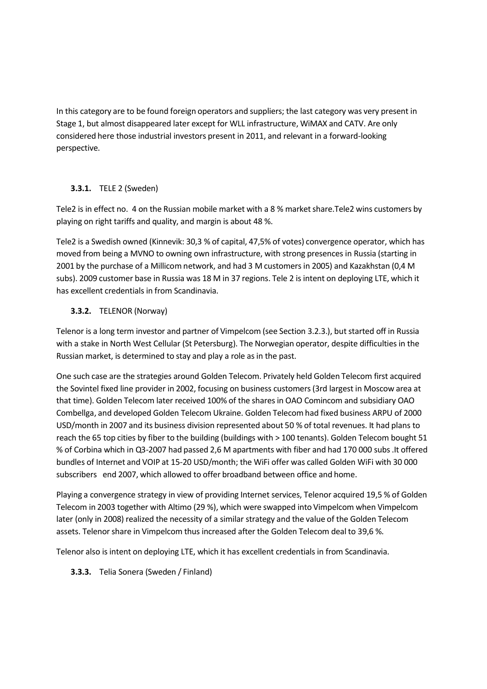In this category are to be found foreign operators and suppliers; the last category was very present in Stage 1, but almost disappeared later except for WLL infrastructure, WiMAX and CATV. Are only considered here those industrial investors present in 2011, and relevant in a forward-looking perspective.

#### **3.3.1.** TELE 2 (Sweden)

Tele2 is in effect no. 4 on the Russian mobile market with a 8 % market share.Tele2 wins customers by playing on right tariffs and quality, and margin is about 48 %.

Tele2 is a Swedish owned (Kinnevik: 30,3 % of capital, 47,5% of votes) convergence operator, which has moved from being a MVNO to owning own infrastructure, with strong presences in Russia (starting in 2001 by the purchase of a Millicom network, and had 3 M customers in 2005) and Kazakhstan (0,4 M subs). 2009 customer base in Russia was 18 M in 37 regions. Tele 2 is intent on deploying LTE, which it has excellent credentials in from Scandinavia.

## **3.3.2.** TELENOR (Norway)

Telenor is a long term investor and partner of Vimpelcom (see Section 3.2.3.), but started off in Russia with a stake in North West Cellular (St Petersburg). The Norwegian operator, despite difficulties in the Russian market, is determined to stay and play a role as in the past.

One such case are the strategies around Golden Telecom. Privately held Golden Telecom first acquired the Sovintel fixed line provider in 2002, focusing on business customers (3rd largest in Moscow area at that time). Golden Telecom later received 100% of the shares in OAO Comincom and subsidiary OAO Combellga, and developed Golden Telecom Ukraine. Golden Telecom had fixed business ARPU of 2000 USD/month in 2007 and its business division represented about 50 % of total revenues. It had plans to reach the 65 top cities by fiber to the building (buildings with > 100 tenants). Golden Telecom bought 51 % of Corbina which in Q3-2007 had passed 2,6 M apartments with fiber and had 170 000 subs .It offered bundles of Internet and VOIP at 15-20 USD/month; the WiFi offer was called Golden WiFi with 30 000 subscribers end 2007, which allowed to offer broadband between office and home.

Playing a convergence strategy in view of providing Internet services, Telenor acquired 19,5 % of Golden Telecom in 2003 together with Altimo (29 %), which were swapped into Vimpelcom when Vimpelcom later (only in 2008) realized the necessity of a similar strategy and the value of the Golden Telecom assets. Telenor share in Vimpelcom thus increased after the Golden Telecom deal to 39,6 %.

Telenor also is intent on deploying LTE, which it has excellent credentials in from Scandinavia.

## **3.3.3.** Telia Sonera (Sweden / Finland)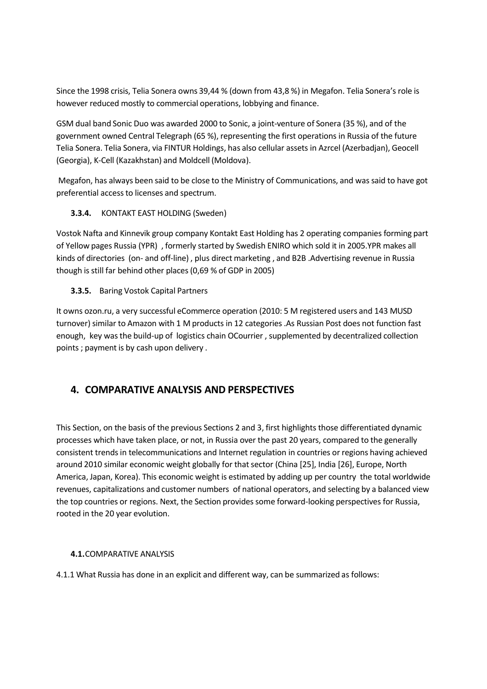Since the 1998 crisis, Telia Sonera owns 39,44 % (down from 43,8 %) in Megafon. Telia Sonera's role is however reduced mostly to commercial operations, lobbying and finance.

GSM dual band Sonic Duo was awarded 2000 to Sonic, a joint-venture of Sonera (35 %), and of the government owned Central Telegraph (65 %), representing the first operations in Russia of the future Telia Sonera. Telia Sonera, via FINTUR Holdings, has also cellular assets in Azrcel (Azerbadjan), Geocell (Georgia), K-Cell (Kazakhstan) and Moldcell (Moldova).

Megafon, has always been said to be close to the Ministry of Communications, and was said to have got preferential access to licenses and spectrum.

## **3.3.4.** KONTAKT EAST HOLDING (Sweden)

Vostok Nafta and Kinnevik group company Kontakt East Holding has 2 operating companies forming part of Yellow pages Russia (YPR) , formerly started by Swedish ENIRO which sold it in 2005.YPR makes all kinds of directories (on- and off-line) , plus direct marketing , and B2B .Advertising revenue in Russia though is still far behind other places (0,69 % of GDP in 2005)

## **3.3.5.** Baring Vostok Capital Partners

It owns ozon.ru, a very successful eCommerce operation (2010: 5 M registered users and 143 MUSD turnover) similar to Amazon with 1 M products in 12 categories .As Russian Post does not function fast enough, key was the build-up of logistics chain OCourrier , supplemented by decentralized collection points ; payment is by cash upon delivery .

## **4. COMPARATIVE ANALYSIS AND PERSPECTIVES**

This Section, on the basis of the previous Sections 2 and 3, first highlights those differentiated dynamic processes which have taken place, or not, in Russia over the past 20 years, compared to the generally consistent trends in telecommunications and Internet regulation in countries or regions having achieved around 2010 similar economic weight globally for that sector (China [25], India [26], Europe, North America, Japan, Korea). This economic weight is estimated by adding up per country the total worldwide revenues, capitalizations and customer numbers of national operators, and selecting by a balanced view the top countries or regions. Next, the Section provides some forward-looking perspectives for Russia, rooted in the 20 year evolution.

#### **4.1.**COMPARATIVE ANALYSIS

4.1.1 What Russia has done in an explicit and different way, can be summarized as follows: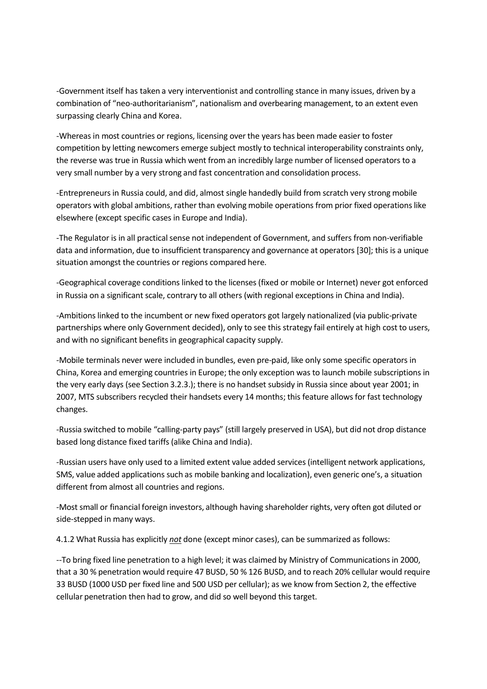-Government itself has taken a very interventionist and controlling stance in many issues, driven by a combination of "neo-authoritarianism", nationalism and overbearing management, to an extent even surpassing clearly China and Korea.

-Whereas in most countries or regions, licensing over the years has been made easier to foster competition by letting newcomers emerge subject mostly to technical interoperability constraints only, the reverse was true in Russia which went from an incredibly large number of licensed operators to a very small number by a very strong and fast concentration and consolidation process.

-Entrepreneurs in Russia could, and did, almost single handedly build from scratch very strong mobile operators with global ambitions, rather than evolving mobile operations from prior fixed operations like elsewhere (except specific cases in Europe and India).

-The Regulator is in all practical sense not independent of Government, and suffers from non-verifiable data and information, due to insufficient transparency and governance at operators [30]; this is a unique situation amongst the countries or regions compared here.

-Geographical coverage conditions linked to the licenses (fixed or mobile or Internet) never got enforced in Russia on a significant scale, contrary to all others (with regional exceptions in China and India).

-Ambitions linked to the incumbent or new fixed operators got largely nationalized (via public-private partnerships where only Government decided), only to see this strategy fail entirely at high cost to users, and with no significant benefits in geographical capacity supply.

-Mobile terminals never were included in bundles, even pre-paid, like only some specific operators in China, Korea and emerging countries in Europe; the only exception was to launch mobile subscriptions in the very early days (see Section 3.2.3.); there is no handset subsidy in Russia since about year 2001; in 2007, MTS subscribers recycled their handsets every 14 months; this feature allows for fast technology changes.

-Russia switched to mobile "calling-party pays" (still largely preserved in USA), but did not drop distance based long distance fixed tariffs (alike China and India).

-Russian users have only used to a limited extent value added services (intelligent network applications, SMS, value added applications such as mobile banking and localization), even generic one's, a situation different from almost all countries and regions.

-Most small or financial foreign investors, although having shareholder rights, very often got diluted or side-stepped in many ways.

4.1.2 What Russia has explicitly *not* done (except minor cases), can be summarized as follows:

--To bring fixed line penetration to a high level; it was claimed by Ministry of Communications in 2000, that a 30 % penetration would require 47 BUSD, 50 % 126 BUSD, and to reach 20% cellular would require 33 BUSD (1000 USD per fixed line and 500 USD per cellular); as we know from Section 2, the effective cellular penetration then had to grow, and did so well beyond this target.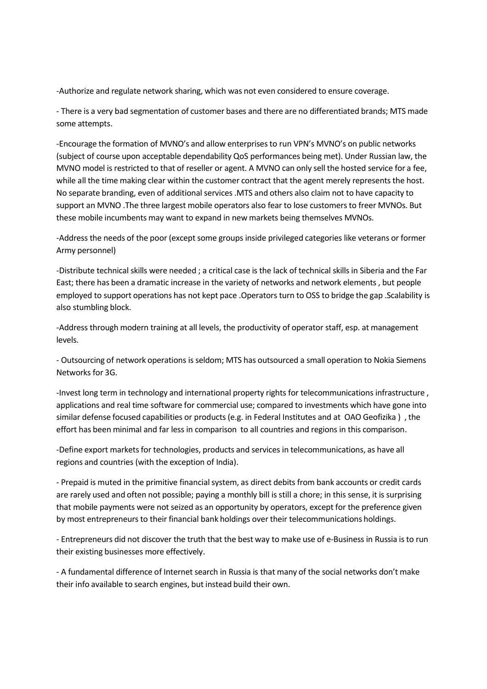-Authorize and regulate network sharing, which was not even considered to ensure coverage.

- There is a very bad segmentation of customer bases and there are no differentiated brands; MTS made some attempts.

-Encourage the formation of MVNO's and allow enterprises to run VPN's MVNO's on public networks (subject of course upon acceptable dependability QoS performances being met). Under Russian law, the MVNO model is restricted to that of reseller or agent. A MVNO can only sell the hosted service for a fee, while all the time making clear within the customer contract that the agent merely represents the host. No separate branding, even of additional services .MTS and others also claim not to have capacity to support an MVNO .The three largest mobile operators also fear to lose customers to freer MVNOs. But these mobile incumbents may want to expand in new markets being themselves MVNOs.

-Address the needs of the poor (except some groups inside privileged categories like veterans or former Army personnel)

-Distribute technical skills were needed ; a critical case is the lack of technical skills in Siberia and the Far East; there has been a dramatic increase in the variety of networks and network elements , but people employed to support operations has not kept pace .Operators turn to OSS to bridge the gap .Scalability is also stumbling block.

-Address through modern training at all levels, the productivity of operator staff, esp. at management levels.

- Outsourcing of network operations is seldom; MTS has outsourced a small operation to Nokia Siemens Networks for 3G.

-Invest long term in technology and international property rights for telecommunications infrastructure , applications and real time software for commercial use; compared to investments which have gone into similar defense focused capabilities or products (e.g. in Federal Institutes and at OAO Geofizika ) , the effort has been minimal and far less in comparison to all countries and regions in this comparison.

-Define export markets for technologies, products and services in telecommunications, as have all regions and countries (with the exception of India).

- Prepaid is muted in the primitive financial system, as direct debits from bank accounts or credit cards are rarely used and often not possible; paying a monthly bill is still a chore; in this sense, it is surprising that mobile payments were not seized as an opportunity by operators, except for the preference given by most entrepreneurs to their financial bank holdings over their telecommunications holdings.

- Entrepreneurs did not discover the truth that the best way to make use of e-Business in Russia is to run their existing businesses more effectively.

- A fundamental difference of Internet search in Russia is that many of the social networks don't make their info available to search engines, but instead build their own.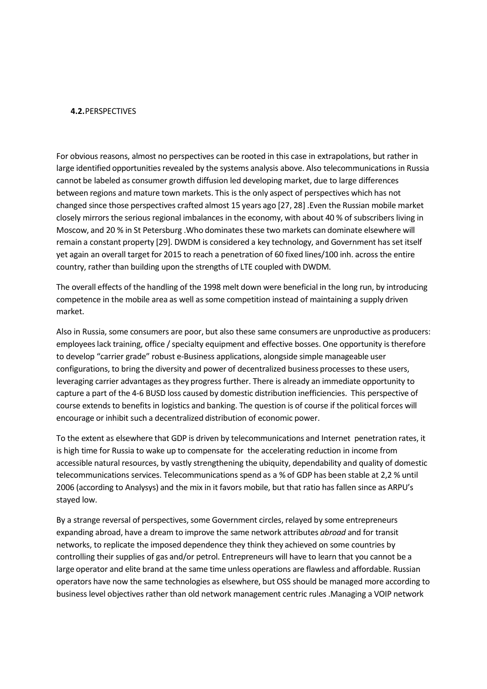#### **4.2.**PERSPECTIVES

For obvious reasons, almost no perspectives can be rooted in this case in extrapolations, but rather in large identified opportunities revealed by the systems analysis above. Also telecommunications in Russia cannot be labeled as consumer growth diffusion led developing market, due to large differences between regions and mature town markets. This is the only aspect of perspectives which has not changed since those perspectives crafted almost 15 years ago [27, 28] .Even the Russian mobile market closely mirrors the serious regional imbalances in the economy, with about 40 % of subscribers living in Moscow, and 20 % in St Petersburg .Who dominates these two markets can dominate elsewhere will remain a constant property [29]. DWDM is considered a key technology, and Government has set itself yet again an overall target for 2015 to reach a penetration of 60 fixed lines/100 inh. across the entire country, rather than building upon the strengths of LTE coupled with DWDM.

The overall effects of the handling of the 1998 melt down were beneficial in the long run, by introducing competence in the mobile area as well as some competition instead of maintaining a supply driven market.

Also in Russia, some consumers are poor, but also these same consumers are unproductive as producers: employees lack training, office / specialty equipment and effective bosses. One opportunity is therefore to develop "carrier grade" robust e-Business applications, alongside simple manageable user configurations, to bring the diversity and power of decentralized business processes to these users, leveraging carrier advantages as they progress further. There is already an immediate opportunity to capture a part of the 4-6 BUSD loss caused by domestic distribution inefficiencies. This perspective of course extends to benefits in logistics and banking. The question is of course if the political forces will encourage or inhibit such a decentralized distribution of economic power.

To the extent as elsewhere that GDP is driven by telecommunications and Internet penetration rates, it is high time for Russia to wake up to compensate for the accelerating reduction in income from accessible natural resources, by vastly strengthening the ubiquity, dependability and quality of domestic telecommunications services. Telecommunications spend as a % of GDP has been stable at 2,2 % until 2006 (according to Analysys) and the mix in it favors mobile, but that ratio has fallen since as ARPU's stayed low.

By a strange reversal of perspectives, some Government circles, relayed by some entrepreneurs expanding abroad, have a dream to improve the same network attributes *abroad* and for transit networks, to replicate the imposed dependence they think they achieved on some countries by controlling their supplies of gas and/or petrol. Entrepreneurs will have to learn that you cannot be a large operator and elite brand at the same time unless operations are flawless and affordable. Russian operators have now the same technologies as elsewhere, but OSS should be managed more according to business level objectives rather than old network management centric rules .Managing a VOIP network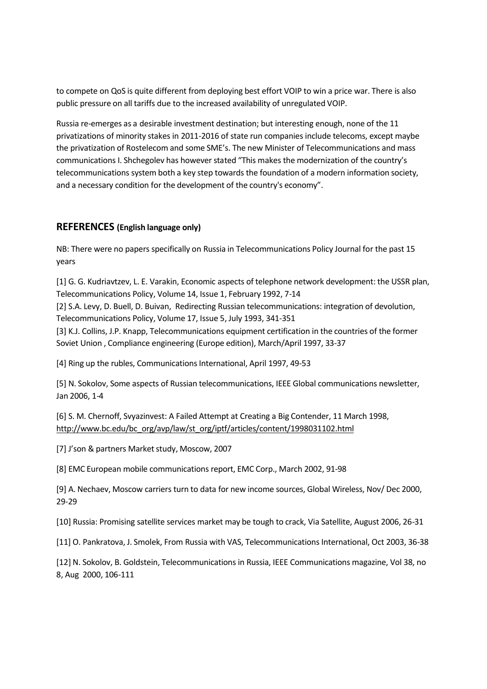to compete on QoS is quite different from deploying best effort VOIP to win a price war. There is also public pressure on all tariffs due to the increased availability of unregulated VOIP.

Russia re-emerges as a desirable investment destination; but interesting enough, none of the 11 privatizations of minority stakes in 2011-2016 of state run companies include telecoms, except maybe the privatization of Rostelecom and some SME's. The new Minister of Telecommunications and mass communications I. Shchegolev has however stated "This makes the modernization of the country's telecommunications system both a key step towards the foundation of a modern information society, and a necessary condition for the development of the country's economy".

#### **REFERENCES (English language only)**

NB: There were no papers specifically on Russia in Telecommunications Policy Journal for the past 15 years

[1] G. G. Kudriavtzev, L. E. Varakin, Economic aspects of telephone network development: the USSR plan, Telecommunications Policy, Volume 14, Issue 1, February 1992, 7-14

[2] S.A. Levy, D. Buell, D. Buivan, Redirecting Russian telecommunications: integration of devolution, Telecommunications Policy, Volume 17, Issue 5, July 1993, 341-351

[3] K.J. Collins, J.P. Knapp, Telecommunications equipment certification in the countries of the former Soviet Union , Compliance engineering (Europe edition), March/April 1997, 33-37

[4] Ring up the rubles, Communications International, April 1997, 49-53

[5] N. Sokolov, Some aspects of Russian telecommunications, IEEE Global communications newsletter, Jan 2006, 1-4

[6] S. M. Chernoff, Svyazinvest: A Failed Attempt at Creating a Big Contender, 11 March 1998, [http://www.bc.edu/bc\\_org/avp/law/st\\_org/iptf/articles/content/1998031102.html](http://www.bc.edu/bc_org/avp/law/st_org/iptf/articles/content/1998031102.html)

[7] J'son & partners Market study, Moscow, 2007

[8] EMC European mobile communications report, EMC Corp., March 2002, 91-98

[9] A. Nechaev, Moscow carriers turn to data for new income sources, Global Wireless, Nov/ Dec 2000, 29-29

[10] Russia: Promising satellite services market may be tough to crack, Via Satellite, August 2006, 26-31

[11] O. Pankratova, J. Smolek, From Russia with VAS, Telecommunications International, Oct 2003, 36-38

[12] N. Sokolov, B. Goldstein, Telecommunications in Russia, IEEE Communications magazine, Vol 38, no 8, Aug 2000, 106-111